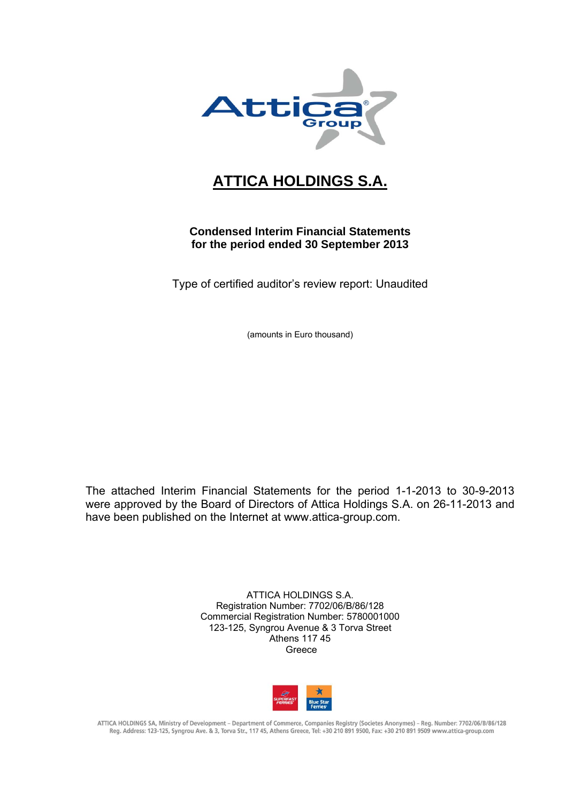

## **ATTICA HOLDINGS S.A.**

## **Condensed Interim Financial Statements for the period ended 30 September 2013**

Type of certified auditor's review report: Unaudited

(amounts in Euro thousand)

The attached Interim Financial Statements for the period 1-1-2013 to 30-9-2013 were approved by the Board of Directors of Attica Holdings S.A. on 26-11-2013 and have been published on the Internet at www.attica-group.com.

> ATTICA HOLDINGS S.A. Registration Number: 7702/06/B/86/128 Commercial Registration Number: 5780001000 123-125, Syngrou Avenue & 3 Torva Street Athens 117 45 Greece



ATTICA HOLDINGS SA, Ministry of Development – Department of Commerce, Companies Registry (Societes Anonymes) – Reg. Number: 7702/06/B/86/128<br>Reg. Address: 123-125, Syngrou Ave. & 3, Torva Str., 117 45, Athens Greece, Tel: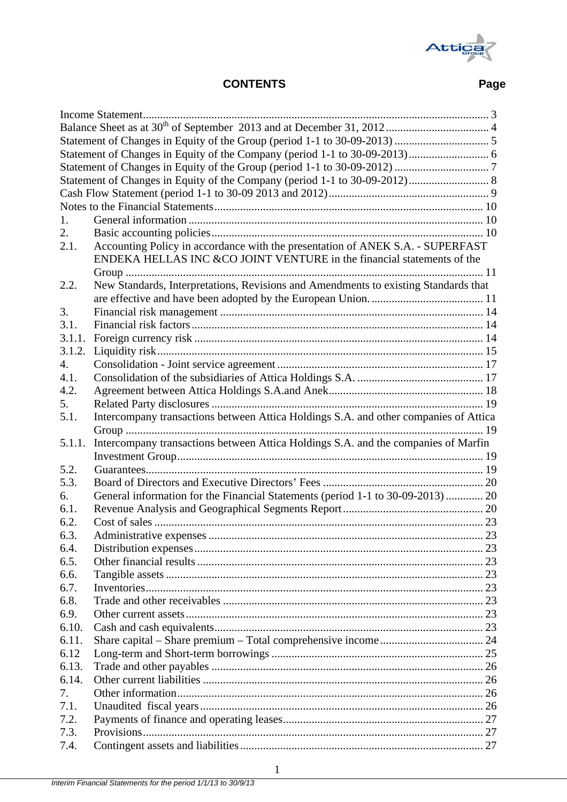

## **CONTENTS Page**

| 1.           |                                                                                      |    |
|--------------|--------------------------------------------------------------------------------------|----|
| 2.           |                                                                                      |    |
| 2.1.         | Accounting Policy in accordance with the presentation of ANEK S.A. - SUPERFAST       |    |
|              | ENDEKA HELLAS INC & CO JOINT VENTURE in the financial statements of the              |    |
|              |                                                                                      |    |
| 2.2.         | New Standards, Interpretations, Revisions and Amendments to existing Standards that  |    |
|              |                                                                                      |    |
| 3.           |                                                                                      |    |
| 3.1.         |                                                                                      |    |
| 3.1.1.       |                                                                                      |    |
| 3.1.2.       |                                                                                      |    |
| 4.           |                                                                                      |    |
| 4.1.         |                                                                                      |    |
| 4.2.         |                                                                                      |    |
| 5.           |                                                                                      |    |
| 5.1.         | Intercompany transactions between Attica Holdings S.A. and other companies of Attica |    |
|              |                                                                                      |    |
| 5.1.1.       | Intercompany transactions between Attica Holdings S.A. and the companies of Marfin   |    |
|              |                                                                                      |    |
| 5.2.         |                                                                                      |    |
|              |                                                                                      |    |
|              |                                                                                      |    |
| 5.3.         |                                                                                      |    |
| 6.           | General information for the Financial Statements (period 1-1 to 30-09-2013) 20       |    |
| 6.1.         |                                                                                      |    |
| 6.2.         |                                                                                      |    |
| 63           |                                                                                      | 23 |
| 6.4.         |                                                                                      |    |
| 6.5.         |                                                                                      |    |
| 6.6.         |                                                                                      |    |
| 6.7.         |                                                                                      |    |
| 6.8.         |                                                                                      |    |
| 6.9.         |                                                                                      |    |
| 6.10.        |                                                                                      |    |
| 6.11.        |                                                                                      |    |
| 6.12         |                                                                                      |    |
| 6.13.        |                                                                                      |    |
| 6.14.        |                                                                                      |    |
| 7.           |                                                                                      |    |
| 7.1.         |                                                                                      |    |
| 7.2.         |                                                                                      |    |
| 7.3.<br>7.4. |                                                                                      |    |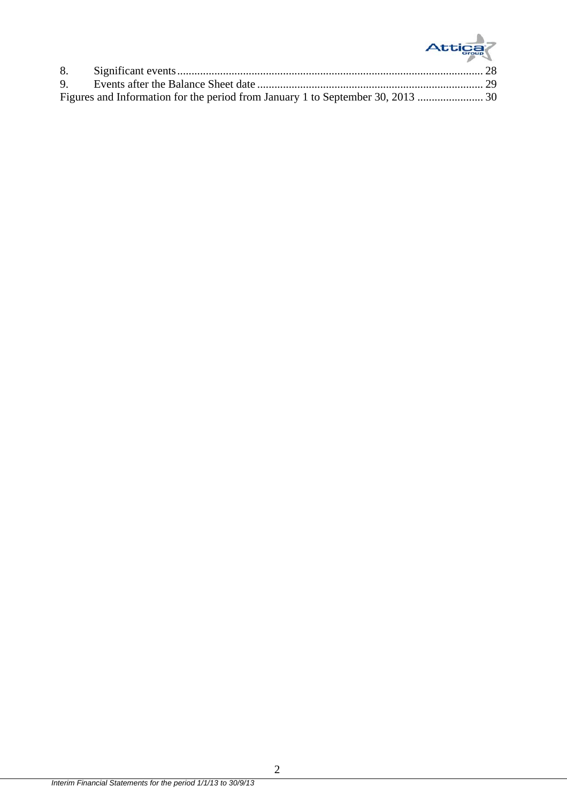# Attica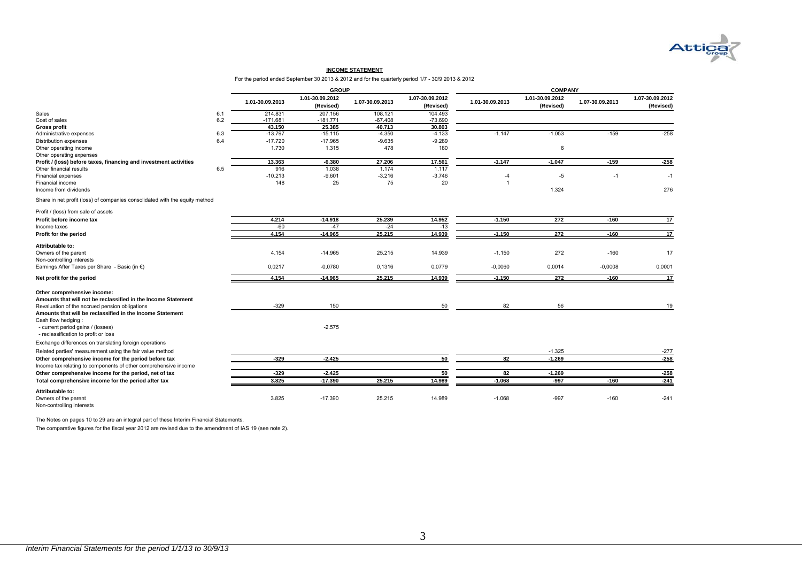

#### **INCOME STATEMENT**

For the period ended September 30 2013 & 2012 and for the quarterly period 1/7 - 30/9 2013 & 2012

|                                                                             |         |                 | <b>GROUP</b>                 |                 |                              | <b>COMPANY</b>  |                              |                 |                              |  |
|-----------------------------------------------------------------------------|---------|-----------------|------------------------------|-----------------|------------------------------|-----------------|------------------------------|-----------------|------------------------------|--|
|                                                                             |         | 1.01-30.09.2013 | 1.01-30.09.2012<br>(Revised) | 1.07-30.09.2013 | 1.07-30.09.2012<br>(Revised) | 1.01-30.09.2013 | 1.01-30.09.2012<br>(Revised) | 1.07-30.09.2013 | 1.07-30.09.2012<br>(Revised) |  |
| Sales                                                                       | 6.1     | 214.831         | 207.156                      | 108.121         | 104.493                      |                 |                              |                 |                              |  |
| Cost of sales                                                               | $6.2\,$ | $-171.681$      | $-181.771$                   | $-67.408$       | $-73.690$                    |                 |                              |                 |                              |  |
| <b>Gross profit</b>                                                         |         | 43.150          | 25.385                       | 40.713          | 30.803                       |                 |                              |                 |                              |  |
| Administrative expenses                                                     | 6.3     | $-13.797$       | $-15.115$                    | $-4.350$        | $-4.133$                     | $-1.147$        | $-1.053$                     | $-159$          | $-258$                       |  |
| Distribution expenses                                                       | 6.4     | $-17.720$       | $-17.965$                    | $-9.635$        | $-9.289$                     |                 |                              |                 |                              |  |
| Other operating income                                                      |         | 1.730           | 1.315                        | 478             | 180                          |                 | 6                            |                 |                              |  |
| Other operating expenses                                                    |         |                 |                              |                 |                              |                 |                              |                 |                              |  |
| Profit / (loss) before taxes, financing and investment activities           |         | 13.363          | $-6.380$                     | 27.206          | 17.561                       | $-1.147$        | $-1.047$                     | $-159$          | $-258$                       |  |
| Other financial results                                                     | 6.5     | 916             | 1.038                        | 1.174           | 1.117                        |                 |                              |                 |                              |  |
| Financial expenses                                                          |         | $-10.213$       | $-9.601$                     | $-3.216$        | $-3.746$                     | $-4$            | $-5$                         | $-1$            | $-1$                         |  |
| Financial income                                                            |         | 148             | 25                           | 75              | 20                           | $\overline{1}$  |                              |                 |                              |  |
| Income from dividends                                                       |         |                 |                              |                 |                              |                 | 1.324                        |                 | 276                          |  |
| Share in net profit (loss) of companies consolidated with the equity method |         |                 |                              |                 |                              |                 |                              |                 |                              |  |
| Profit / (loss) from sale of assets                                         |         |                 |                              |                 |                              |                 |                              |                 |                              |  |
| Profit before income tax                                                    |         | 4.214           | $-14.918$                    | 25.239          | 14.952                       | $-1.150$        | 272                          | $-160$          | 17                           |  |
| Income taxes                                                                |         | $-60$           | $-47$                        | $-24$           | $-13$                        |                 |                              |                 |                              |  |
| Profit for the period                                                       |         | 4.154           | $-14.965$                    | 25.215          | 14.939                       | $-1.150$        | 272                          | $-160$          | 17                           |  |
| Attributable to:                                                            |         |                 |                              |                 |                              |                 |                              |                 |                              |  |
| Owners of the parent                                                        |         | 4.154           | $-14.965$                    | 25.215          | 14.939                       | $-1.150$        | 272                          | $-160$          | 17                           |  |
| Non-controlling interests                                                   |         |                 |                              |                 |                              |                 |                              |                 |                              |  |
| Earnings After Taxes per Share - Basic (in €)                               |         | 0,0217          | $-0.0780$                    | 0,1316          | 0,0779                       | $-0,0060$       | 0,0014                       | $-0,0008$       | 0,0001                       |  |
| Net profit for the period                                                   |         | 4.154           | $-14.965$                    | 25.215          | 14.939                       | $-1.150$        | 272                          | $-160$          | 17                           |  |
| Other comprehensive income:                                                 |         |                 |                              |                 |                              |                 |                              |                 |                              |  |
| Amounts that will not be reclassified in the Income Statement               |         |                 |                              |                 |                              |                 |                              |                 |                              |  |
| Revaluation of the accrued pension obligations                              |         | $-329$          | 150                          |                 | 50                           | 82              | 56                           |                 | 19                           |  |
| Amounts that will be reclassified in the Income Statement                   |         |                 |                              |                 |                              |                 |                              |                 |                              |  |
| Cash flow hedging:                                                          |         |                 |                              |                 |                              |                 |                              |                 |                              |  |
| - current period gains / (losses)                                           |         |                 | $-2.575$                     |                 |                              |                 |                              |                 |                              |  |
| - reclassification to profit or loss                                        |         |                 |                              |                 |                              |                 |                              |                 |                              |  |
| Exchange differences on translating foreign operations                      |         |                 |                              |                 |                              |                 |                              |                 |                              |  |
| Related parties' measurement using the fair value method                    |         |                 |                              |                 |                              |                 | $-1.325$                     |                 | $-277$                       |  |
| Other comprehensive income for the period before tax                        |         | $-329$          | $-2.425$                     |                 | 50                           | 82              | $-1.269$                     |                 | $-258$                       |  |
| Income tax relating to components of other comprehensive income             |         |                 |                              |                 |                              |                 |                              |                 |                              |  |
| Other comprehensive income for the period, net of tax                       |         | $-329$          | $-2.425$                     |                 | 50                           | 82              | $-1.269$                     |                 | $-258$                       |  |
| Total comprehensive income for the period after tax                         |         | 3.825           | $-17.390$                    | 25.215          | 14.989                       | $-1.068$        | $-997$                       | $-160$          | $-241$                       |  |
| Attributable to:                                                            |         |                 |                              |                 |                              |                 |                              |                 |                              |  |
| Owners of the parent                                                        |         | 3.825           | $-17.390$                    | 25.215          | 14.989                       | $-1.068$        | $-997$                       | $-160$          | $-241$                       |  |
| Non-controlling interests                                                   |         |                 |                              |                 |                              |                 |                              |                 |                              |  |

The Notes on pages 10 to 29 are an integral part of these Interim Financial Statements.

The comparative figures for the fiscal year 2012 are revised due to the amendment of IAS 19 (see note 2).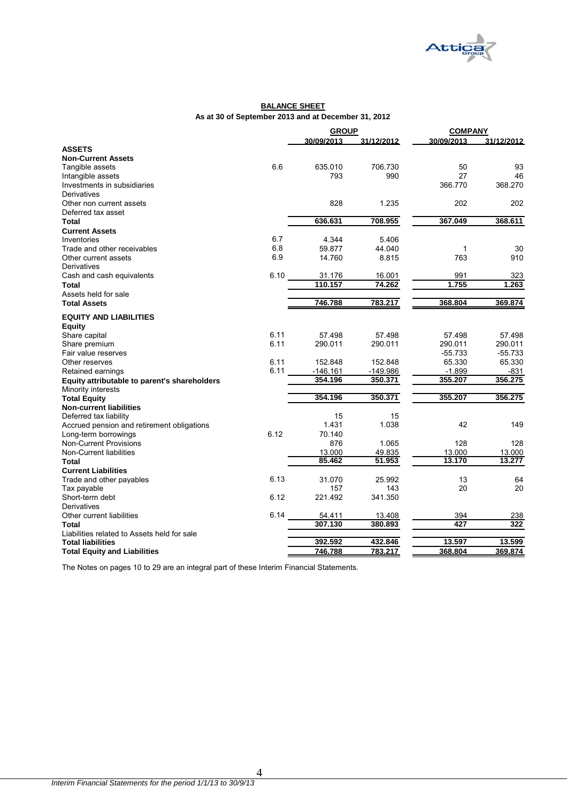

#### **BALANCE SHEET As at 30 of September 2013 and at December 31, 2012**

|                                              |      | <b>GROUP</b> |            | <b>COMPANY</b> |            |  |
|----------------------------------------------|------|--------------|------------|----------------|------------|--|
|                                              |      | 30/09/2013   | 31/12/2012 | 30/09/2013     | 31/12/2012 |  |
| <b>ASSETS</b>                                |      |              |            |                |            |  |
| <b>Non-Current Assets</b>                    |      |              |            |                |            |  |
| Tangible assets                              | 6.6  | 635.010      | 706.730    | 50             | 93         |  |
| Intangible assets                            |      | 793          | 990        | 27             | 46         |  |
| Investments in subsidiaries                  |      |              |            | 366.770        | 368.270    |  |
| Derivatives                                  |      |              |            |                |            |  |
| Other non current assets                     |      | 828          | 1.235      | 202            | 202        |  |
| Deferred tax asset                           |      |              |            |                |            |  |
| <b>Total</b>                                 |      | 636.631      | 708.955    | 367.049        | 368.611    |  |
| <b>Current Assets</b>                        |      |              |            |                |            |  |
| Inventories                                  | 6.7  | 4.344        | 5.406      |                |            |  |
| Trade and other receivables                  | 6.8  | 59.877       | 44.040     | $\mathbf{1}$   | 30         |  |
| Other current assets                         | 6.9  | 14.760       | 8.815      | 763            | 910        |  |
| Derivatives                                  |      |              |            |                |            |  |
| Cash and cash equivalents                    | 6.10 | 31.176       | 16.001     | 991            | 323        |  |
| Total                                        |      | 110.157      | 74.262     | 1.755          | 1.263      |  |
| Assets held for sale                         |      |              |            |                |            |  |
| <b>Total Assets</b>                          |      | 746.788      | 783.217    | 368.804        | 369.874    |  |
|                                              |      |              |            |                |            |  |
| <b>EQUITY AND LIABILITIES</b>                |      |              |            |                |            |  |
| Equity                                       |      |              |            |                |            |  |
| Share capital                                | 6.11 | 57.498       | 57.498     | 57.498         | 57.498     |  |
| Share premium                                | 6.11 | 290.011      | 290.011    | 290.011        | 290.011    |  |
| Fair value reserves                          |      |              |            | $-55.733$      | $-55.733$  |  |
| Other reserves                               | 6.11 | 152.848      | 152.848    | 65.330         | 65.330     |  |
| Retained earnings                            | 6.11 | $-146.161$   | $-149.986$ | $-1.899$       | -831       |  |
| Equity attributable to parent's shareholders |      | 354.196      | 350.371    | 355.207        | 356.275    |  |
| Minority interests                           |      |              |            |                |            |  |
| <b>Total Equity</b>                          |      | 354.196      | 350.371    | 355.207        | 356.275    |  |
| <b>Non-current liabilities</b>               |      |              |            |                |            |  |
| Deferred tax liability                       |      | 15           | 15         |                |            |  |
| Accrued pension and retirement obligations   |      | 1.431        | 1.038      | 42             | 149        |  |
| Long-term borrowings                         | 6.12 | 70.140       |            |                |            |  |
| <b>Non-Current Provisions</b>                |      | 876          | 1.065      | 128            | 128        |  |
| Non-Current liabilities                      |      | 13.000       | 49.835     | 13.000         | 13.000     |  |
| <b>Total</b>                                 |      | 85.462       | 51.953     | 13.170         | 13.277     |  |
| <b>Current Liabilities</b>                   |      |              |            |                |            |  |
| Trade and other payables                     | 6.13 | 31.070       | 25.992     | 13             | 64         |  |
| Tax payable                                  |      | 157          | 143        | 20             | 20         |  |
| Short-term debt                              | 6.12 | 221.492      | 341.350    |                |            |  |
| Derivatives                                  |      |              |            |                |            |  |
| Other current liabilities                    | 6.14 | 54.411       | 13.408     | 394            | 238        |  |
| Total                                        |      | 307.130      | 380.893    | 427            | 322        |  |
| Liabilities related to Assets held for sale  |      |              |            |                |            |  |
| <b>Total liabilities</b>                     |      | 392.592      | 432.846    | 13.597         | 13.599     |  |
| <b>Total Equity and Liabilities</b>          |      | 746.788      | 783.217    | 368.804        | 369.874    |  |

The Notes on pages 10 to 29 are an integral part of these Interim Financial Statements.

4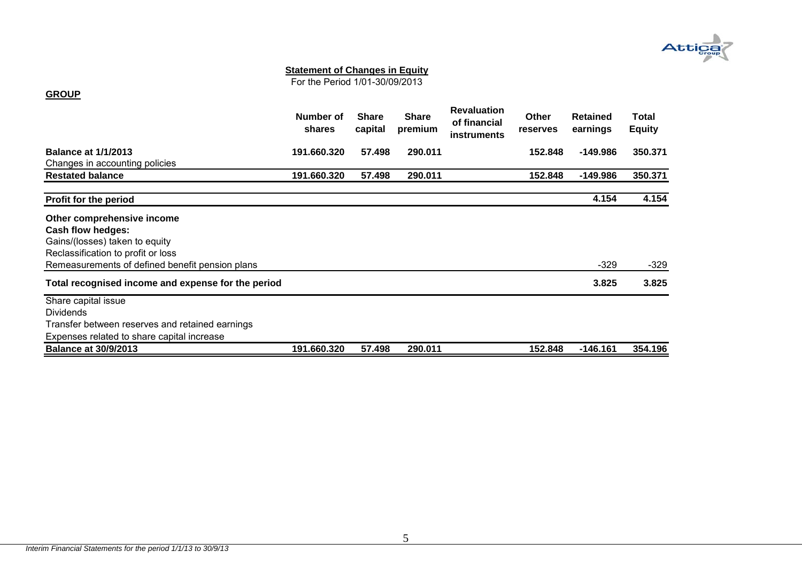

For the Period 1/01-30/09/2013

#### **GROUP**

|                                                    | Number of<br>shares | <b>Share</b><br>capital | <b>Share</b><br>premium | <b>Revaluation</b><br>of financial<br><b>instruments</b> | <b>Other</b><br><b>reserves</b> | <b>Retained</b><br>earnings | Total<br><b>Equity</b> |
|----------------------------------------------------|---------------------|-------------------------|-------------------------|----------------------------------------------------------|---------------------------------|-----------------------------|------------------------|
| <b>Balance at 1/1/2013</b>                         | 191.660.320         | 57.498                  | 290.011                 |                                                          | 152.848                         | $-149.986$                  | 350.371                |
| Changes in accounting policies                     |                     |                         |                         |                                                          |                                 |                             |                        |
| <b>Restated balance</b>                            | 191.660.320         | 57.498                  | 290.011                 |                                                          | 152.848                         | $-149.986$                  | 350.371                |
| Profit for the period                              |                     |                         |                         |                                                          |                                 | 4.154                       | 4.154                  |
| Other comprehensive income                         |                     |                         |                         |                                                          |                                 |                             |                        |
| Cash flow hedges:                                  |                     |                         |                         |                                                          |                                 |                             |                        |
| Gains/(losses) taken to equity                     |                     |                         |                         |                                                          |                                 |                             |                        |
| Reclassification to profit or loss                 |                     |                         |                         |                                                          |                                 |                             |                        |
| Remeasurements of defined benefit pension plans    |                     |                         |                         |                                                          |                                 | $-329$                      | $-329$                 |
| Total recognised income and expense for the period |                     |                         |                         |                                                          |                                 | 3.825                       | 3.825                  |
| Share capital issue                                |                     |                         |                         |                                                          |                                 |                             |                        |
| <b>Dividends</b>                                   |                     |                         |                         |                                                          |                                 |                             |                        |
| Transfer between reserves and retained earnings    |                     |                         |                         |                                                          |                                 |                             |                        |
| Expenses related to share capital increase         |                     |                         |                         |                                                          |                                 |                             |                        |
| <b>Balance at 30/9/2013</b>                        | 191.660.320         | 57.498                  | 290.011                 |                                                          | 152.848                         | $-146.161$                  | 354.196                |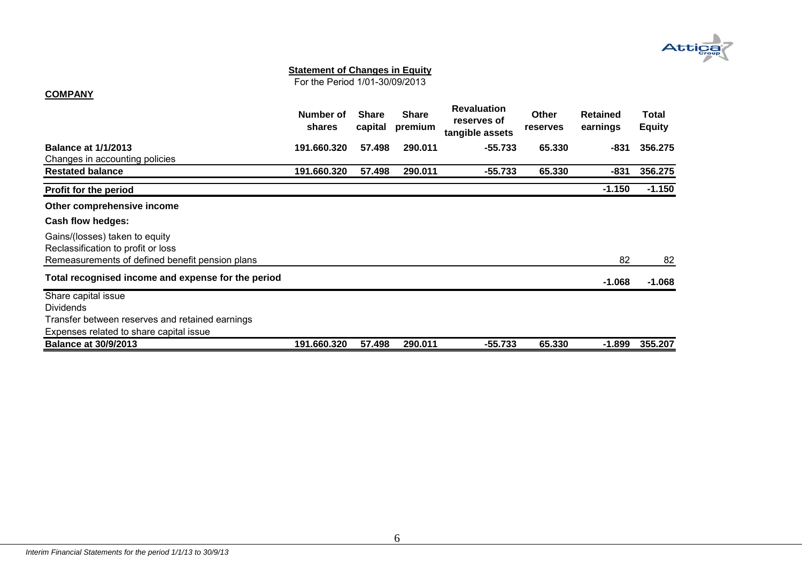

For the Period 1/01-30/09/2013

#### **COMPANY**

|                                                                      | Number of<br>shares | <b>Share</b><br>capital | <b>Share</b><br>premium | <b>Revaluation</b><br>reserves of<br>tangible assets | <b>Other</b><br>reserves | <b>Retained</b><br>earnings | Total<br><b>Equity</b> |
|----------------------------------------------------------------------|---------------------|-------------------------|-------------------------|------------------------------------------------------|--------------------------|-----------------------------|------------------------|
| <b>Balance at 1/1/2013</b>                                           | 191.660.320         | 57.498                  | 290.011                 | $-55.733$                                            | 65.330                   | -831                        | 356.275                |
| Changes in accounting policies                                       |                     |                         |                         |                                                      |                          |                             |                        |
| <b>Restated balance</b>                                              | 191.660.320         | 57.498                  | 290.011                 | -55.733                                              | 65.330                   | $-831$                      | 356.275                |
| <b>Profit for the period</b>                                         |                     |                         |                         |                                                      |                          | $-1.150$                    | $-1.150$               |
| Other comprehensive income                                           |                     |                         |                         |                                                      |                          |                             |                        |
| Cash flow hedges:                                                    |                     |                         |                         |                                                      |                          |                             |                        |
| Gains/(losses) taken to equity<br>Reclassification to profit or loss |                     |                         |                         |                                                      |                          |                             |                        |
| Remeasurements of defined benefit pension plans                      |                     |                         |                         |                                                      |                          | 82                          | 82                     |
| Total recognised income and expense for the period                   |                     |                         |                         |                                                      |                          | $-1.068$                    | $-1.068$               |
| Share capital issue                                                  |                     |                         |                         |                                                      |                          |                             |                        |
| <b>Dividends</b>                                                     |                     |                         |                         |                                                      |                          |                             |                        |
| Transfer between reserves and retained earnings                      |                     |                         |                         |                                                      |                          |                             |                        |
| Expenses related to share capital issue                              |                     |                         |                         |                                                      |                          |                             |                        |
| <b>Balance at 30/9/2013</b>                                          | 191.660.320         | 57.498                  | 290.011                 | -55.733                                              | 65.330                   | $-1.899$                    | 355.207                |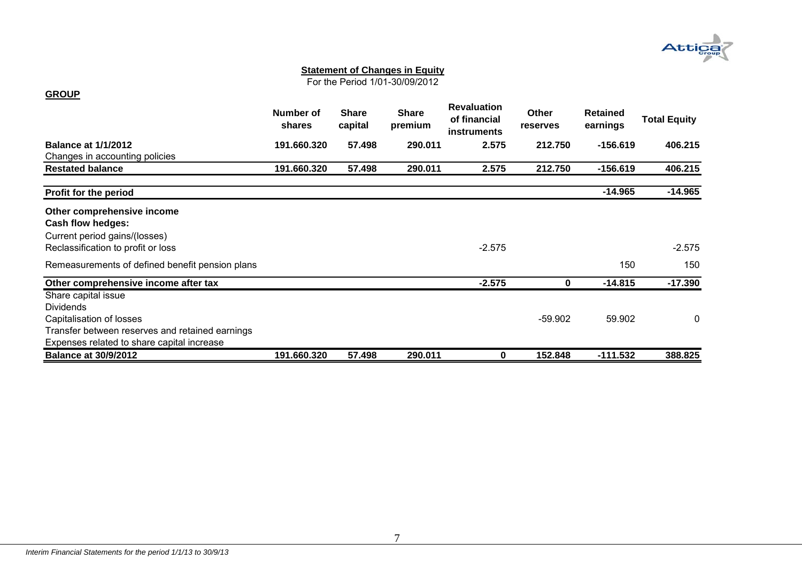

For the Period 1/01-30/09/2012

#### **GROUP**

|                                                 | Number of<br><b>shares</b> | <b>Share</b><br>capital | <b>Share</b><br>premium | <b>Revaluation</b><br>of financial<br><b>instruments</b> | <b>Other</b><br>reserves | <b>Retained</b><br>earnings | <b>Total Equity</b> |
|-------------------------------------------------|----------------------------|-------------------------|-------------------------|----------------------------------------------------------|--------------------------|-----------------------------|---------------------|
| <b>Balance at 1/1/2012</b>                      | 191.660.320                | 57.498                  | 290.011                 | 2.575                                                    | 212.750                  | $-156.619$                  | 406.215             |
| Changes in accounting policies                  |                            |                         |                         |                                                          |                          |                             |                     |
| <b>Restated balance</b>                         | 191.660.320                | 57.498                  | 290.011                 | 2.575                                                    | 212.750                  | $-156.619$                  | 406.215             |
| Profit for the period                           |                            |                         |                         |                                                          |                          | $-14.965$                   | $-14.965$           |
| Other comprehensive income                      |                            |                         |                         |                                                          |                          |                             |                     |
| <b>Cash flow hedges:</b>                        |                            |                         |                         |                                                          |                          |                             |                     |
| Current period gains/(losses)                   |                            |                         |                         |                                                          |                          |                             |                     |
| Reclassification to profit or loss              |                            |                         |                         | $-2.575$                                                 |                          |                             | $-2.575$            |
| Remeasurements of defined benefit pension plans |                            |                         |                         |                                                          |                          | 150                         | 150                 |
| Other comprehensive income after tax            |                            |                         |                         | $-2.575$                                                 | 0                        | $-14.815$                   | $-17.390$           |
| Share capital issue                             |                            |                         |                         |                                                          |                          |                             |                     |
| <b>Dividends</b>                                |                            |                         |                         |                                                          |                          |                             |                     |
| Capitalisation of losses                        |                            |                         |                         |                                                          | $-59.902$                | 59.902                      | $\mathbf 0$         |
| Transfer between reserves and retained earnings |                            |                         |                         |                                                          |                          |                             |                     |
| Expenses related to share capital increase      |                            |                         |                         |                                                          |                          |                             |                     |
| <b>Balance at 30/9/2012</b>                     | 191.660.320                | 57.498                  | 290.011                 | 0                                                        | 152.848                  | $-111.532$                  | 388.825             |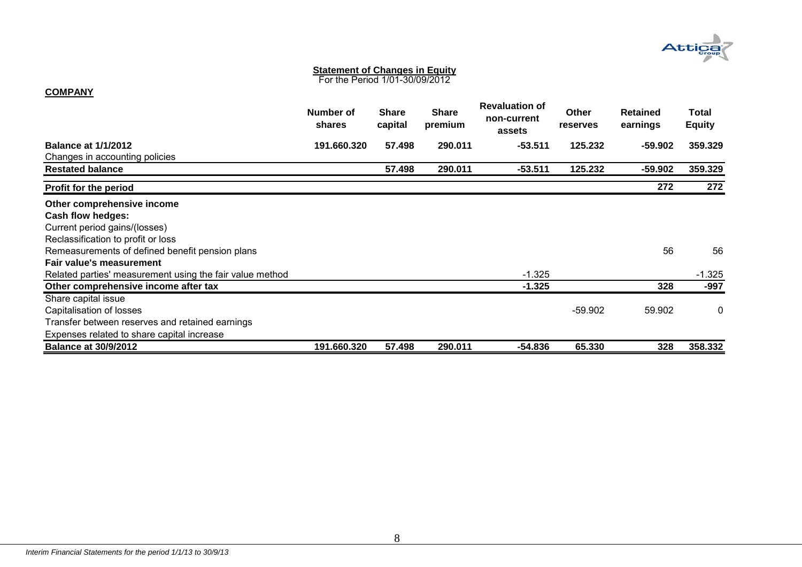

For the Period 1/01-30/09/2012

#### **COMPANY**

|                                                          | Number of<br><b>shares</b> | <b>Share</b><br>capital | <b>Share</b><br>premium | <b>Revaluation of</b><br>non-current<br>assets | <b>Other</b><br>reserves | <b>Retained</b><br>earnings | Total<br><b>Equity</b> |
|----------------------------------------------------------|----------------------------|-------------------------|-------------------------|------------------------------------------------|--------------------------|-----------------------------|------------------------|
| <b>Balance at 1/1/2012</b>                               | 191.660.320                | 57.498                  | 290.011                 | $-53.511$                                      | 125.232                  | -59.902                     | 359.329                |
| Changes in accounting policies                           |                            |                         |                         |                                                |                          |                             |                        |
| <b>Restated balance</b>                                  |                            | 57.498                  | 290.011                 | $-53.511$                                      | 125.232                  | -59.902                     | 359.329                |
| Profit for the period                                    |                            |                         |                         |                                                |                          | 272                         | 272                    |
| Other comprehensive income                               |                            |                         |                         |                                                |                          |                             |                        |
| Cash flow hedges:                                        |                            |                         |                         |                                                |                          |                             |                        |
| Current period gains/(losses)                            |                            |                         |                         |                                                |                          |                             |                        |
| Reclassification to profit or loss                       |                            |                         |                         |                                                |                          |                             |                        |
| Remeasurements of defined benefit pension plans          |                            |                         |                         |                                                |                          | 56                          | 56                     |
| Fair value's measurement                                 |                            |                         |                         |                                                |                          |                             |                        |
| Related parties' measurement using the fair value method |                            |                         |                         | $-1.325$                                       |                          |                             | $-1.325$               |
| Other comprehensive income after tax                     |                            |                         |                         | $-1.325$                                       |                          | 328                         | -997                   |
| Share capital issue                                      |                            |                         |                         |                                                |                          |                             |                        |
| Capitalisation of losses                                 |                            |                         |                         |                                                | $-59.902$                | 59.902                      | 0                      |
| Transfer between reserves and retained earnings          |                            |                         |                         |                                                |                          |                             |                        |
| Expenses related to share capital increase               |                            |                         |                         |                                                |                          |                             |                        |
| <b>Balance at 30/9/2012</b>                              | 191.660.320                | 57.498                  | 290.011                 | -54.836                                        | 65.330                   | 328                         | 358.332                |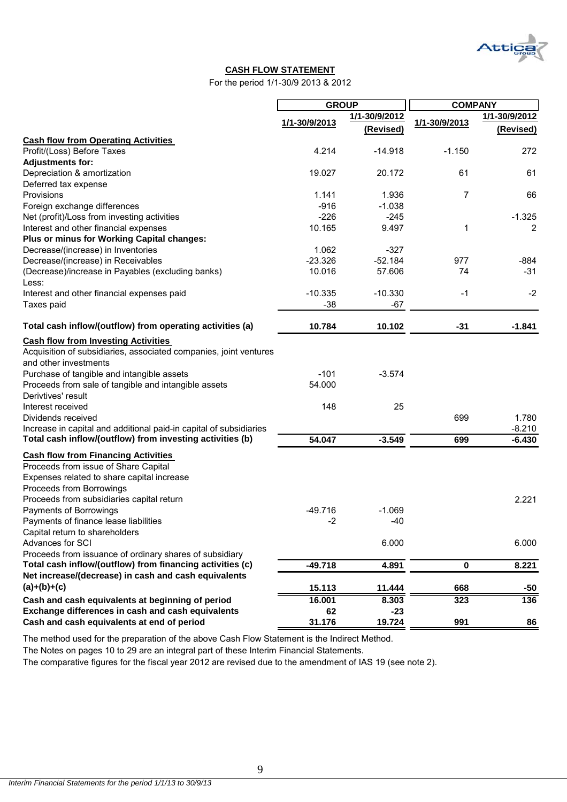Att

#### **CASH FLOW STATEMENT**

For the period 1/1-30/9 2013 & 2012

|                                                                                                                                                              |               | <b>GROUP</b>               | <b>COMPANY</b> |                            |  |
|--------------------------------------------------------------------------------------------------------------------------------------------------------------|---------------|----------------------------|----------------|----------------------------|--|
|                                                                                                                                                              | 1/1-30/9/2013 | 1/1-30/9/2012<br>(Revised) | 1/1-30/9/2013  | 1/1-30/9/2012<br>(Revised) |  |
| <b>Cash flow from Operating Activities</b>                                                                                                                   |               |                            |                |                            |  |
| Profit/(Loss) Before Taxes                                                                                                                                   | 4.214         | $-14.918$                  | $-1.150$       | 272                        |  |
| <b>Adjustments for:</b>                                                                                                                                      |               |                            |                |                            |  |
| Depreciation & amortization                                                                                                                                  | 19.027        | 20.172                     | 61             | 61                         |  |
| Deferred tax expense                                                                                                                                         |               |                            |                |                            |  |
| Provisions                                                                                                                                                   | 1.141         | 1.936                      | 7              | 66                         |  |
| Foreign exchange differences                                                                                                                                 | $-916$        | $-1.038$                   |                |                            |  |
| Net (profit)/Loss from investing activities                                                                                                                  | $-226$        | $-245$                     |                | $-1.325$                   |  |
| Interest and other financial expenses                                                                                                                        | 10.165        | 9.497                      | 1              | 2                          |  |
| Plus or minus for Working Capital changes:                                                                                                                   |               |                            |                |                            |  |
| Decrease/(increase) in Inventories                                                                                                                           | 1.062         | $-327$                     |                |                            |  |
| Decrease/(increase) in Receivables                                                                                                                           | $-23.326$     | $-52.184$                  | 977            | $-884$                     |  |
| (Decrease)/increase in Payables (excluding banks)<br>Less:                                                                                                   | 10.016        | 57.606                     | 74             | $-31$                      |  |
| Interest and other financial expenses paid                                                                                                                   | $-10.335$     | $-10.330$                  | -1             | $-2$                       |  |
| Taxes paid                                                                                                                                                   | $-38$         | $-67$                      |                |                            |  |
| Total cash inflow/(outflow) from operating activities (a)                                                                                                    | 10.784        | 10.102                     | $-31$          | $-1.841$                   |  |
| <b>Cash flow from Investing Activities</b><br>Acquisition of subsidiaries, associated companies, joint ventures<br>and other investments                     |               |                            |                |                            |  |
| Purchase of tangible and intangible assets                                                                                                                   | $-101$        | $-3.574$                   |                |                            |  |
| Proceeds from sale of tangible and intangible assets<br>Derivtives' result                                                                                   | 54.000        |                            |                |                            |  |
| Interest received                                                                                                                                            | 148           | 25                         |                |                            |  |
| Dividends received                                                                                                                                           |               |                            | 699            | 1.780                      |  |
| Increase in capital and additional paid-in capital of subsidiaries                                                                                           |               |                            |                | $-8.210$                   |  |
| Total cash inflow/(outflow) from investing activities (b)                                                                                                    | 54.047        | $-3.549$                   | 699            | $-6.430$                   |  |
| <b>Cash flow from Financing Activities</b><br>Proceeds from issue of Share Capital<br>Expenses related to share capital increase<br>Proceeds from Borrowings |               |                            |                |                            |  |
| Proceeds from subsidiaries capital return                                                                                                                    |               |                            |                | 2.221                      |  |
| Payments of Borrowings                                                                                                                                       | $-49.716$     | $-1.069$                   |                |                            |  |
| Payments of finance lease liabilities                                                                                                                        | $-2$          | $-40$                      |                |                            |  |
| Capital return to shareholders                                                                                                                               |               |                            |                |                            |  |
| Advances for SCI                                                                                                                                             |               | 6.000                      |                | 6.000                      |  |
| Proceeds from issuance of ordinary shares of subsidiary                                                                                                      |               |                            |                |                            |  |
| Total cash inflow/(outflow) from financing activities (c)                                                                                                    | $-49.718$     | 4.891                      | $\mathbf 0$    | 8.221                      |  |
| Net increase/(decrease) in cash and cash equivalents                                                                                                         |               |                            |                |                            |  |
| $(a)+(b)+(c)$                                                                                                                                                | 15.113        | 11.444                     | 668            | -50                        |  |
| Cash and cash equivalents at beginning of period                                                                                                             | 16.001        | 8.303                      | 323            | 136                        |  |
| Exchange differences in cash and cash equivalents                                                                                                            | 62            | $-23$                      |                |                            |  |
| Cash and cash equivalents at end of period                                                                                                                   | 31.176        | 19.724                     | 991            | 86                         |  |

The method used for the preparation of the above Cash Flow Statement is the Indirect Method.

The Notes on pages 10 to 29 are an integral part of these Interim Financial Statements.

The comparative figures for the fiscal year 2012 are revised due to the amendment of IAS 19 (see note 2).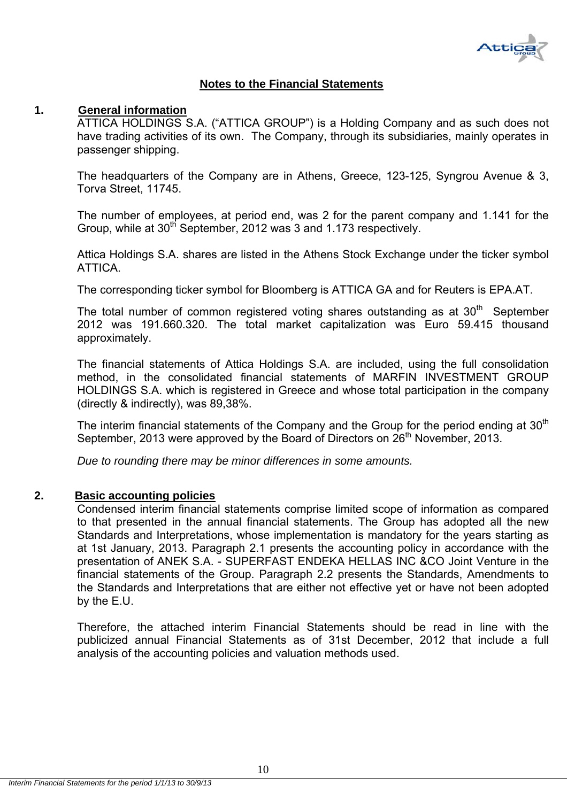

### **Notes to the Financial Statements**

#### **1. General information**

ATTICA HOLDINGS S.A. ("ATTICA GROUP") is a Holding Company and as such does not have trading activities of its own. The Company, through its subsidiaries, mainly operates in passenger shipping.

The headquarters of the Company are in Athens, Greece, 123-125, Syngrou Avenue & 3, Torva Street, 11745.

The number of employees, at period end, was 2 for the parent company and 1.141 for the Group, while at 30<sup>th</sup> September, 2012 was 3 and 1.173 respectively.

Attica Holdings S.A. shares are listed in the Athens Stock Exchange under the ticker symbol ATTICA.

The corresponding ticker symbol for Bloomberg is ATTICA GA and for Reuters is EPA.AT.

The total number of common registered voting shares outstanding as at  $30<sup>th</sup>$  September 2012 was 191.660.320. The total market capitalization was Euro 59.415 thousand approximately.

The financial statements of Attica Holdings S.A. are included, using the full consolidation method, in the consolidated financial statements of MARFIN INVESTMENT GROUP HOLDINGS S.A. which is registered in Greece and whose total participation in the company (directly & indirectly), was 89,38%.

The interim financial statements of the Company and the Group for the period ending at  $30<sup>th</sup>$ September, 2013 were approved by the Board of Directors on 26<sup>th</sup> November, 2013.

*Due to rounding there may be minor differences in some amounts.* 

#### **2. Basic accounting policies**

Condensed interim financial statements comprise limited scope of information as compared to that presented in the annual financial statements. The Group has adopted all the new Standards and Interpretations, whose implementation is mandatory for the years starting as at 1st January, 2013. Paragraph 2.1 presents the accounting policy in accordance with the presentation of ANEK S.A. - SUPERFAST ENDEKA HELLAS INC &CO Joint Venture in the financial statements of the Group. Paragraph 2.2 presents the Standards, Amendments to the Standards and Interpretations that are either not effective yet or have not been adopted by the E.U.

Therefore, the attached interim Financial Statements should be read in line with the publicized annual Financial Statements as of 31st December, 2012 that include a full analysis of the accounting policies and valuation methods used.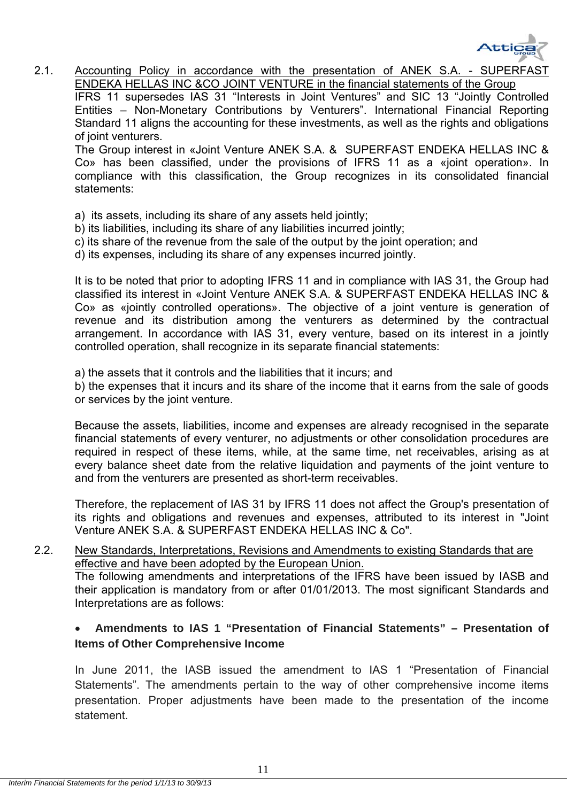

2.1. Accounting Policy in accordance with the presentation of ANEK S.A. - SUPERFAST ENDEKA HELLAS INC &CO JOINT VENTURE in the financial statements of the Group IFRS 11 supersedes IAS 31 "Interests in Joint Ventures" and SIC 13 "Jointly Controlled

Entities – Non-Monetary Contributions by Venturers". International Financial Reporting Standard 11 aligns the accounting for these investments, as well as the rights and obligations of joint venturers.

The Group interest in «Joint Venture ΑΝΕΚ S.A. & SUPERFAST ENDEKA HELLAS INC & Co» has been classified, under the provisions of IFRS 11 as a «joint operation». In compliance with this classification, the Group recognizes in its consolidated financial statements:

- a) its assets, including its share of any assets held jointly;
- b) its liabilities, including its share of any liabilities incurred jointly;
- c) its share of the revenue from the sale of the output by the joint operation; and
- d) its expenses, including its share of any expenses incurred jointly.

It is to be noted that prior to adopting IFRS 11 and in compliance with IAS 31, the Group had classified its interest in «Joint Venture ΑΝΕΚ S.A. & SUPERFAST ENDEKA HELLAS INC & Co» as «jointly controlled operations». The objective of a joint venture is generation of revenue and its distribution among the venturers as determined by the contractual arrangement. In accordance with IAS 31, every venture, based on its interest in a jointly controlled operation, shall recognize in its separate financial statements:

a) the assets that it controls and the liabilities that it incurs; and

b) the expenses that it incurs and its share of the income that it earns from the sale of goods or services by the joint venture.

Because the assets, liabilities, income and expenses are already recognised in the separate financial statements of every venturer, no adjustments or other consolidation procedures are required in respect of these items, while, at the same time, net receivables, arising as at every balance sheet date from the relative liquidation and payments of the joint venture to and from the venturers are presented as short-term receivables.

Therefore, the replacement of IAS 31 by IFRS 11 does not affect the Group's presentation of its rights and obligations and revenues and expenses, attributed to its interest in "Joint Venture ΑΝΕΚ S.A. & SUPERFAST ENDEKA HELLAS INC & Co".

2.2. New Standards, Interpretations, Revisions and Amendments to existing Standards that are effective and have been adopted by the European Union.

The following amendments and interpretations of the IFRS have been issued by IASB and their application is mandatory from or after 01/01/2013. The most significant Standards and Interpretations are as follows:

## **Amendments to IAS 1 "Presentation of Financial Statements" – Presentation of Items of Other Comprehensive Income**

In June 2011, the IASB issued the amendment to IAS 1 "Presentation of Financial Statements". The amendments pertain to the way of other comprehensive income items presentation. Proper adjustments have been made to the presentation of the income statement.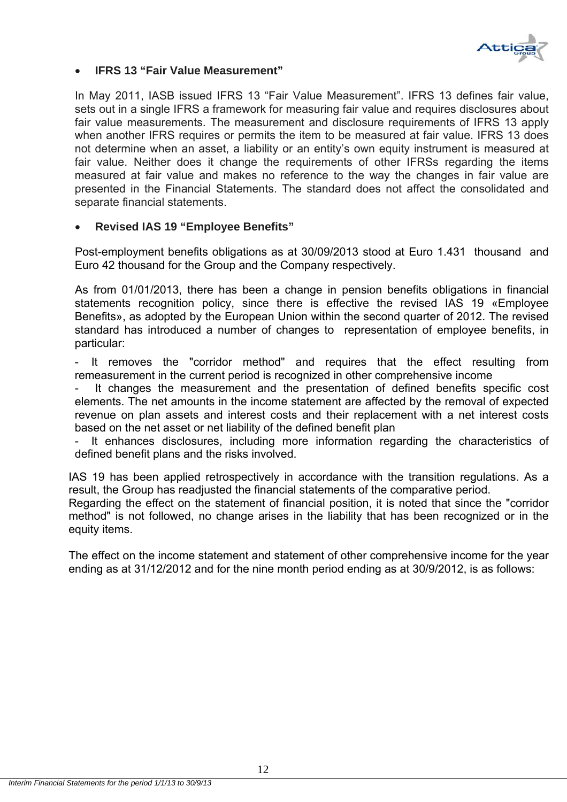

### **IFRS 13 "Fair Value Measurement"**

In May 2011, IASB issued IFRS 13 "Fair Value Measurement". IFRS 13 defines fair value, sets out in a single IFRS a framework for measuring fair value and requires disclosures about fair value measurements. The measurement and disclosure requirements of IFRS 13 apply when another IFRS requires or permits the item to be measured at fair value. IFRS 13 does not determine when an asset, a liability or an entity's own equity instrument is measured at fair value. Neither does it change the requirements of other IFRSs regarding the items measured at fair value and makes no reference to the way the changes in fair value are presented in the Financial Statements. The standard does not affect the consolidated and separate financial statements.

## **Revised IAS 19 "Employee Benefits"**

Post-employment benefits obligations as at 30/09/2013 stood at Euro 1.431 thousand and Euro 42 thousand for the Group and the Company respectively.

As from 01/01/2013, there has been a change in pension benefits obligations in financial statements recognition policy, since there is effective the revised IAS 19 «Employee Benefits», as adopted by the European Union within the second quarter of 2012. The revised standard has introduced a number of changes to representation of employee benefits, in particular:

It removes the "corridor method" and requires that the effect resulting from remeasurement in the current period is recognized in other comprehensive income

It changes the measurement and the presentation of defined benefits specific cost elements. The net amounts in the income statement are affected by the removal of expected revenue on plan assets and interest costs and their replacement with a net interest costs based on the net asset or net liability of the defined benefit plan

It enhances disclosures, including more information regarding the characteristics of defined benefit plans and the risks involved.

IAS 19 has been applied retrospectively in accordance with the transition regulations. As a result, the Group has readjusted the financial statements of the comparative period. Regarding the effect on the statement of financial position, it is noted that since the "corridor method" is not followed, no change arises in the liability that has been recognized or in the equity items.

The effect on the income statement and statement of other comprehensive income for the year ending as at 31/12/2012 and for the nine month period ending as at 30/9/2012, is as follows: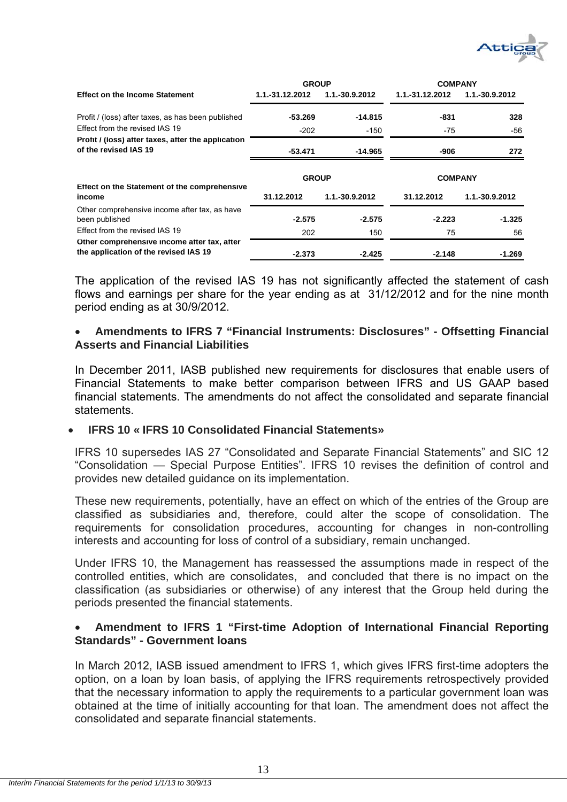

|                                                                                      | <b>GROUP</b>    |                | <b>COMPANY</b>  |                |  |
|--------------------------------------------------------------------------------------|-----------------|----------------|-----------------|----------------|--|
| <b>Effect on the Income Statement</b>                                                | 1.1.-31.12.2012 | 1.1.-30.9.2012 | 1.1.-31.12.2012 | 1.1.-30.9.2012 |  |
| Profit / (loss) after taxes, as has been published                                   | -53.269         | $-14.815$      | -831            | 328            |  |
| Effect from the revised IAS 19                                                       | -202            | -150           | -75             | -56            |  |
| Profit / (loss) after taxes, after the application<br>of the revised IAS 19          | -53.471         | -14.965        | -906            | 272            |  |
| Effect on the Statement of the comprehensive                                         | <b>GROUP</b>    |                | <b>COMPANY</b>  |                |  |
| income                                                                               | 31.12.2012      | 1.1.-30.9.2012 | 31.12.2012      | 1.1.-30.9.2012 |  |
| Other comprehensive income after tax, as have<br>been published                      | $-2.575$        | $-2.575$       | $-2.223$        | $-1.325$       |  |
| Effect from the revised IAS 19                                                       | 202             | 150            | 75              | 56             |  |
| Other comprehensive income after tax, after<br>the application of the revised IAS 19 |                 |                | $-2.148$        | $-1.269$       |  |

The application of the revised IAS 19 has not significantly affected the statement of cash flows and earnings per share for the year ending as at 31/12/2012 and for the nine month period ending as at 30/9/2012.

### **Amendments to IFRS 7 "Financial Instruments: Disclosures" - Offsetting Financial Asserts and Financial Liabilities**

In December 2011, IASB published new requirements for disclosures that enable users of Financial Statements to make better comparison between IFRS and US GAAP based financial statements. The amendments do not affect the consolidated and separate financial statements.

### **IFRS 10 « IFRS 10 Consolidated Financial Statements»**

IFRS 10 supersedes IAS 27 "Consolidated and Separate Financial Statements" and SIC 12 "Consolidation — Special Purpose Entities". IFRS 10 revises the definition of control and provides new detailed guidance on its implementation.

These new requirements, potentially, have an effect on which of the entries of the Group are classified as subsidiaries and, therefore, could alter the scope of consolidation. The requirements for consolidation procedures, accounting for changes in non-controlling interests and accounting for loss of control of a subsidiary, remain unchanged.

Under IFRS 10, the Management has reassessed the assumptions made in respect of the controlled entities, which are consolidates, and concluded that there is no impact on the classification (as subsidiaries or otherwise) of any interest that the Group held during the periods presented the financial statements.

## **Amendment to IFRS 1 "First-time Adoption of International Financial Reporting Standards" - Government loans**

In March 2012, IASB issued amendment to IFRS 1, which gives IFRS first-time adopters the option, on a loan by loan basis, of applying the IFRS requirements retrospectively provided that the necessary information to apply the requirements to a particular government loan was obtained at the time of initially accounting for that loan. The amendment does not affect the consolidated and separate financial statements.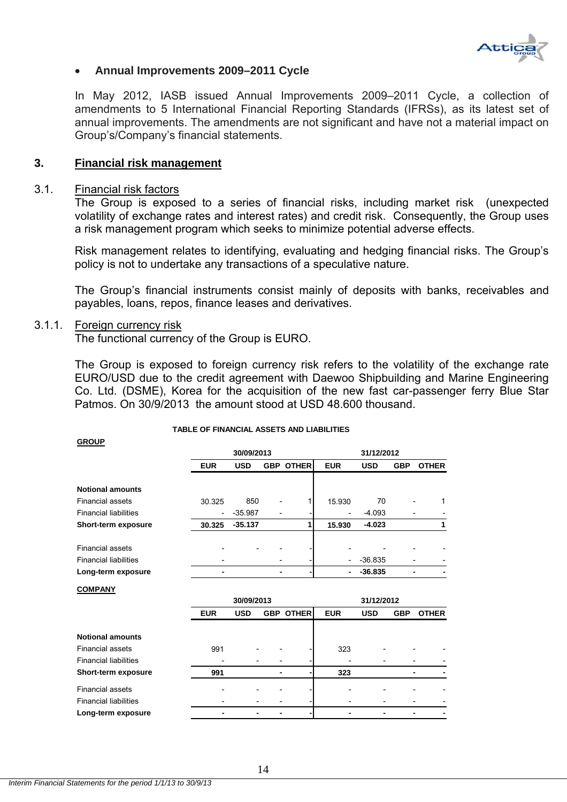

#### **Annual Improvements 2009–2011 Cycle**

In May 2012, IASB issued Annual Improvements 2009–2011 Cycle, a collection of amendments to 5 International Financial Reporting Standards (IFRSs), as its latest set of annual improvements. The amendments are not significant and have not a material impact on Group's/Company's financial statements.

#### **3. Financial risk management**

#### 3.1. Financial risk factors

The Group is exposed to a series of financial risks, including market risk (unexpected volatility of exchange rates and interest rates) and credit risk. Consequently, the Group uses a risk management program which seeks to minimize potential adverse effects.

Risk management relates to identifying, evaluating and hedging financial risks. The Group's policy is not to undertake any transactions of a speculative nature.

The Group's financial instruments consist mainly of deposits with banks, receivables and payables, loans, repos, finance leases and derivatives.

#### 3.1.1. Foreign currency risk

**GROUP**

The functional currency of the Group is EURO.

The Group is exposed to foreign currency risk refers to the volatility of the exchange rate EURO/USD due to the credit agreement with Daewoo Shipbuilding and Marine Engineering Co. Ltd. (DSME), Korea for the acquisition of the new fast car-passenger ferry Blue Star Patmos. On 30/9/2013 the amount stood at USD 48.600 thousand.

|                              |            | 30/09/2013 |                              |                  | 31/12/2012                   |            |            |              |
|------------------------------|------------|------------|------------------------------|------------------|------------------------------|------------|------------|--------------|
|                              |            |            |                              |                  |                              |            |            |              |
|                              | <b>EUR</b> | <b>USD</b> |                              | <b>GBP OTHER</b> | <b>EUR</b>                   | <b>USD</b> | <b>GBP</b> | <b>OTHER</b> |
|                              |            |            |                              |                  |                              |            |            |              |
| <b>Notional amounts</b>      |            |            |                              |                  |                              |            |            |              |
| <b>Financial assets</b>      | 30.325     | 850        |                              | 1                | 15.930                       | 70         |            | 1            |
| <b>Financial liabilities</b> |            | $-35.987$  | $\overline{a}$               |                  |                              | $-4.093$   |            |              |
| Short-term exposure          | 30.325     | $-35.137$  |                              | 1                | 15.930                       | $-4.023$   |            | 1            |
| <b>Financial assets</b>      |            |            |                              |                  |                              |            |            |              |
| <b>Financial liabilities</b> |            |            |                              |                  |                              | $-36.835$  |            |              |
| Long-term exposure           |            |            |                              |                  |                              | $-36.835$  |            |              |
| <b>COMPANY</b>               |            |            |                              |                  |                              |            |            |              |
|                              |            | 30/09/2013 |                              |                  | 31/12/2012                   |            |            |              |
|                              | <b>EUR</b> | <b>USD</b> |                              | <b>GBP OTHER</b> | <b>EUR</b>                   | <b>USD</b> | <b>GBP</b> | <b>OTHER</b> |
| <b>Notional amounts</b>      |            |            |                              |                  |                              |            |            |              |
| <b>Financial assets</b>      | 991        |            |                              |                  | 323                          |            |            |              |
| <b>Financial liabilities</b> |            |            |                              |                  |                              |            |            |              |
| Short-term exposure          | 991        |            | -                            |                  | 323                          |            |            |              |
| <b>Financial assets</b>      |            |            |                              |                  |                              |            |            |              |
| <b>Financial liabilities</b> |            |            | $\qquad \qquad \blacksquare$ |                  | $\qquad \qquad \blacksquare$ |            |            |              |
| Long-term exposure           |            |            | ٠                            |                  |                              |            |            |              |

#### **TABLE OF FINANCIAL ASSETS AND LIABILITIES**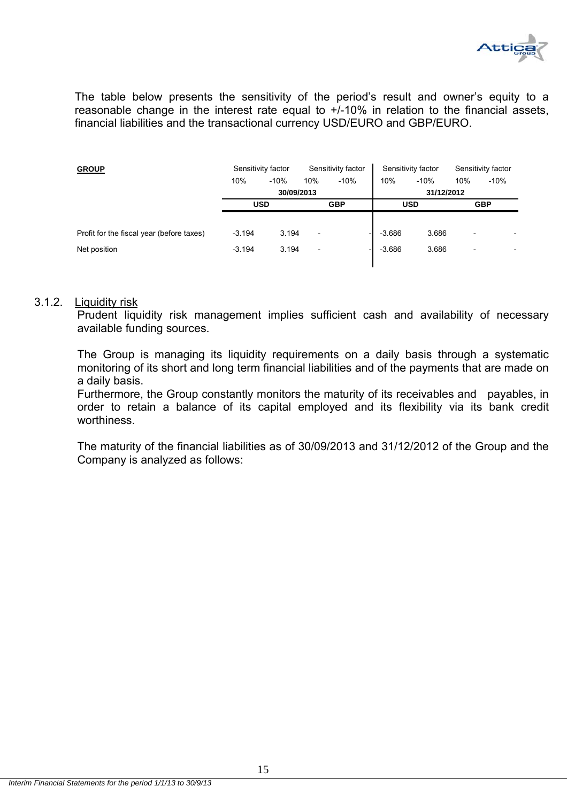

The table below presents the sensitivity of the period's result and owner's equity to a reasonable change in the interest rate equal to +/-10% in relation to the financial assets, financial liabilities and the transactional currency USD/EURO and GBP/EURO.

| <b>GROUP</b>                              |                   | Sensitivity factor |                          | Sensitivity factor |            | Sensitivity factor |                          | Sensitivity factor |  |
|-------------------------------------------|-------------------|--------------------|--------------------------|--------------------|------------|--------------------|--------------------------|--------------------|--|
|                                           | 10%               | $-10%$             | 10%                      | $-10%$             | 10%        | $-10%$             | 10%                      | $-10%$             |  |
|                                           |                   | 30/09/2013         |                          |                    |            | 31/12/2012         |                          |                    |  |
|                                           |                   | <b>USD</b>         | <b>GBP</b>               |                    | <b>USD</b> |                    | <b>GBP</b>               |                    |  |
|                                           |                   |                    |                          |                    |            |                    |                          |                    |  |
| Profit for the fiscal year (before taxes) | $-3.194$          | 3.194              | $\overline{\phantom{0}}$ |                    | $-3.686$   | 3.686              | $\overline{\phantom{0}}$ |                    |  |
| Net position                              | $-3.194$<br>3.194 |                    | $\overline{\phantom{0}}$ |                    | $-3.686$   | 3.686              | $\overline{\phantom{0}}$ |                    |  |
|                                           |                   |                    |                          |                    |            |                    |                          |                    |  |

#### 3.1.2. Liquidity risk

Prudent liquidity risk management implies sufficient cash and availability of necessary available funding sources.

The Group is managing its liquidity requirements on a daily basis through a systematic monitoring οf its short and long term financial liabilities and of the payments that are made on a daily basis.

Furthermore, the Group constantly monitors the maturity of its receivables and payables, in order to retain a balance of its capital employed and its flexibility via its bank credit worthiness.

The maturity of the financial liabilities as of 30/09/2013 and 31/12/2012 of the Group and the Company is analyzed as follows: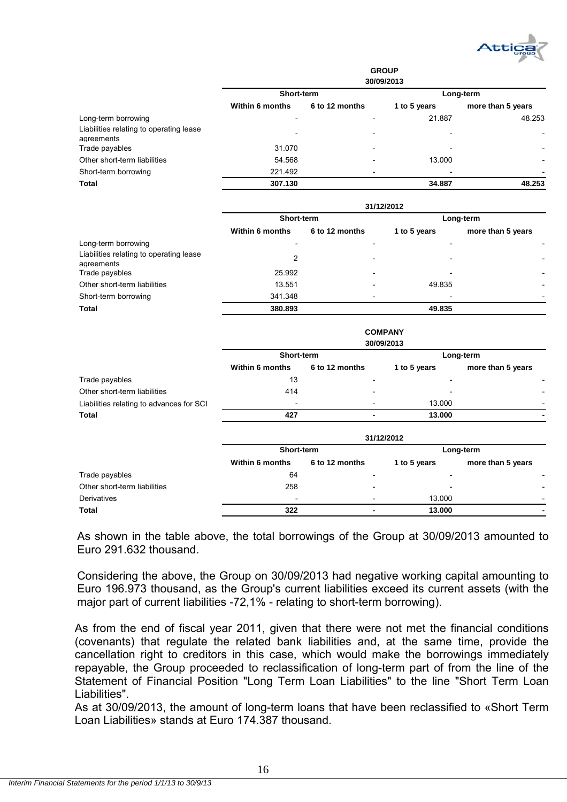

|                                                       |                        |                | <b>GROUP</b><br>30/09/2013 |                   |
|-------------------------------------------------------|------------------------|----------------|----------------------------|-------------------|
|                                                       | Short-term             |                |                            | Long-term         |
|                                                       | <b>Within 6 months</b> | 6 to 12 months | 1 to 5 years               | more than 5 years |
| Long-term borrowing                                   | $\overline{a}$         | -              | 21.887                     | 48.253            |
| Liabilities relating to operating lease<br>agreements |                        |                |                            |                   |
| Trade payables                                        | 31.070                 |                |                            |                   |
| Other short-term liabilities                          | 54.568                 |                | 13.000                     |                   |
| Short-term borrowing                                  | 221.492                |                |                            |                   |
| <b>Total</b>                                          | 307.130                |                | 34.887                     | 48.253            |
|                                                       |                        |                | 31/12/2012                 |                   |
|                                                       | Short-term             |                |                            | Long-term         |
|                                                       | <b>Within 6 months</b> | 6 to 12 months | 1 to 5 years               | more than 5 years |
| Long-term borrowing                                   |                        |                |                            |                   |
| Liabilities relating to operating lease<br>agreements | $\overline{2}$         |                |                            |                   |
| Trade payables                                        | 25.992                 |                |                            |                   |

|                              |         | <b>COMPANY</b>           |                          |                          |
|------------------------------|---------|--------------------------|--------------------------|--------------------------|
| <b>Total</b>                 | 380.893 |                          | 49.835                   |                          |
| Short-term borrowing         | 341.348 | -                        | $\overline{\phantom{0}}$ | $\overline{\phantom{0}}$ |
| Other short-term liabilities | 13.551  | $\overline{\phantom{a}}$ | 49.835                   | $\overline{\phantom{0}}$ |

|                                          | 30/09/2013             |                |                          |                   |  |  |
|------------------------------------------|------------------------|----------------|--------------------------|-------------------|--|--|
|                                          | Short-term             |                |                          | Long-term         |  |  |
|                                          | <b>Within 6 months</b> | 6 to 12 months | 1 to 5 years             | more than 5 years |  |  |
| Trade payables                           | 13                     | -              | -                        |                   |  |  |
| Other short-term liabilities             | 414                    |                | $\overline{\phantom{a}}$ |                   |  |  |
| Liabilities relating to advances for SCI | -                      |                | 13.000                   |                   |  |  |
| <b>Total</b>                             | 427                    | -              | 13.000                   |                   |  |  |

|                              | 31/12/2012               |                          |                          |                          |  |
|------------------------------|--------------------------|--------------------------|--------------------------|--------------------------|--|
|                              | Short-term               |                          |                          | Long-term                |  |
|                              | <b>Within 6 months</b>   | 6 to 12 months           | 1 to 5 years             | more than 5 years        |  |
| Trade payables               | 64                       |                          | $\overline{\phantom{0}}$ |                          |  |
| Other short-term liabilities | 258                      | -                        | $\overline{\phantom{a}}$ | $\overline{\phantom{0}}$ |  |
| Derivatives                  | $\overline{\phantom{0}}$ | $\overline{\phantom{a}}$ | 13.000                   | $\overline{\phantom{0}}$ |  |
| <b>Total</b>                 | 322                      |                          | 13,000                   | $\blacksquare$           |  |

As shown in the table above, the total borrowings of the Group at 30/09/2013 amounted to Euro 291.632 thousand.

Considering the above, the Group on 30/09/2013 had negative working capital amounting to Euro 196.973 thousand, as the Group's current liabilities exceed its current assets (with the major part of current liabilities -72,1% - relating to short-term borrowing).

As from the end of fiscal year 2011, given that there were not met the financial conditions (covenants) that regulate the related bank liabilities and, at the same time, provide the cancellation right to creditors in this case, which would make the borrowings immediately repayable, the Group proceeded to reclassification of long-term part of from the line of the Statement of Financial Position "Long Term Loan Liabilities" to the line "Short Term Loan Liabilities".

As at 30/09/2013, the amount of long-term loans that have been reclassified to «Short Term Loan Liabilities» stands at Euro 174.387 thousand.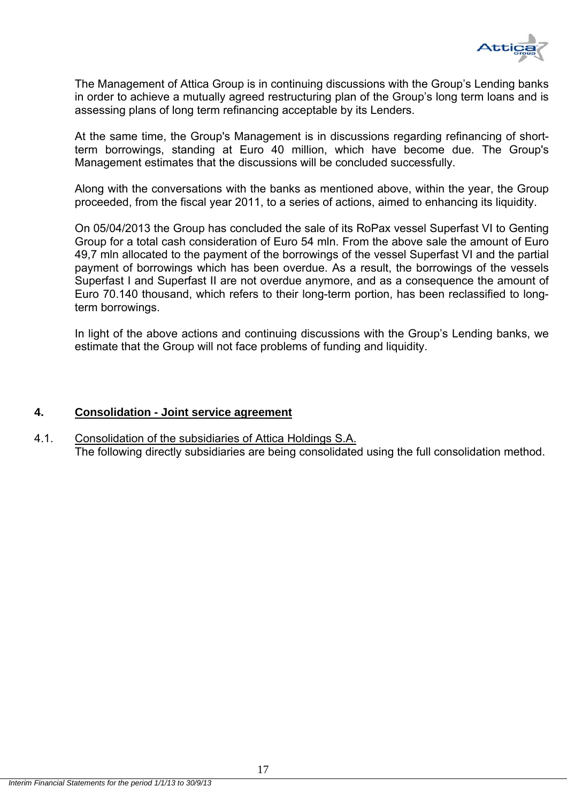

The Management of Attica Group is in continuing discussions with the Group's Lending banks in order to achieve a mutually agreed restructuring plan of the Group's long term loans and is assessing plans of long term refinancing acceptable by its Lenders.

At the same time, the Group's Management is in discussions regarding refinancing of shortterm borrowings, standing at Euro 40 million, which have become due. The Group's Management estimates that the discussions will be concluded successfully.

Along with the conversations with the banks as mentioned above, within the year, the Group proceeded, from the fiscal year 2011, to a series of actions, aimed to enhancing its liquidity.

On 05/04/2013 the Group has concluded the sale of its RoPax vessel Superfast VI to Genting Group for a total cash consideration of Euro 54 mln. From the above sale the amount of Euro 49,7 mln allocated to the payment of the borrowings of the vessel Superfast VI and the partial payment of borrowings which has been overdue. As a result, the borrowings of the vessels Superfast I and Superfast II are not overdue anymore, and as a consequence the amount of Euro 70.140 thousand, which refers to their long-term portion, has been reclassified to longterm borrowings.

In light of the above actions and continuing discussions with the Group's Lending banks, we estimate that the Group will not face problems of funding and liquidity.

### **4. Consolidation - Joint service agreement**

4.1. Consolidation of the subsidiaries of Attica Holdings S.A. The following directly subsidiaries are being consolidated using the full consolidation method.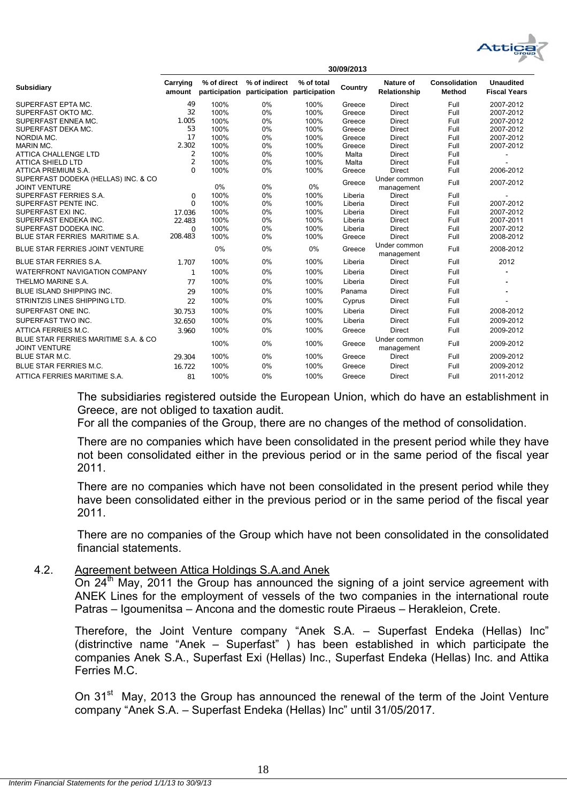

| Carrying<br>amount | % of direct                                     | % of indirect                        | % of total                 | Country                                                                           | Nature of<br>Relationship    | Consolidation<br>Method                                                                          | <b>Unaudited</b><br><b>Fiscal Years</b> |
|--------------------|-------------------------------------------------|--------------------------------------|----------------------------|-----------------------------------------------------------------------------------|------------------------------|--------------------------------------------------------------------------------------------------|-----------------------------------------|
| 49                 | 100%                                            | 0%                                   | 100%                       | Greece                                                                            | <b>Direct</b>                | Full                                                                                             | 2007-2012                               |
| 32                 | 100%                                            | 0%                                   | 100%                       | Greece                                                                            | <b>Direct</b>                | Full                                                                                             | 2007-2012                               |
| 1.005              | 100%                                            | 0%                                   | 100%                       | Greece                                                                            | <b>Direct</b>                | Full                                                                                             | 2007-2012                               |
| 53                 | 100%                                            | 0%                                   | 100%                       | Greece                                                                            | <b>Direct</b>                | Full                                                                                             | 2007-2012                               |
| 17                 | 100%                                            | 0%                                   | 100%                       | Greece                                                                            | <b>Direct</b>                | Full                                                                                             | 2007-2012                               |
| 2.302              | 100%                                            | 0%                                   | 100%                       | Greece                                                                            | <b>Direct</b>                | Full                                                                                             | 2007-2012                               |
| 2                  | 100%                                            | 0%                                   | 100%                       | Malta                                                                             | <b>Direct</b>                | Full                                                                                             |                                         |
|                    |                                                 |                                      |                            | Malta                                                                             | <b>Direct</b>                |                                                                                                  |                                         |
|                    |                                                 |                                      |                            | Greece                                                                            |                              |                                                                                                  | 2006-2012                               |
|                    | 0%                                              | 0%                                   | 0%                         | Greece                                                                            | management                   | Full                                                                                             | 2007-2012                               |
| $\Omega$           | 100%                                            | 0%                                   | 100%                       | Liberia                                                                           | Direct                       | Full                                                                                             |                                         |
| $\Omega$           | 100%                                            | 0%                                   | 100%                       | Liberia                                                                           | Direct                       | Full                                                                                             | 2007-2012                               |
| 17.036             | 100%                                            | 0%                                   | 100%                       | Liberia                                                                           | <b>Direct</b>                | Full                                                                                             | 2007-2012                               |
|                    |                                                 |                                      |                            |                                                                                   |                              |                                                                                                  | 2007-2011                               |
| $\Omega$           |                                                 |                                      |                            |                                                                                   |                              |                                                                                                  | 2007-2012                               |
|                    |                                                 |                                      |                            |                                                                                   |                              |                                                                                                  | 2008-2012                               |
|                    | 0%                                              | 0%                                   | 0%                         | Greece                                                                            | management                   | Full                                                                                             | 2008-2012                               |
| 1.707              | 100%                                            | 0%                                   | 100%                       | Liberia                                                                           | <b>Direct</b>                | Full                                                                                             | 2012                                    |
| $\mathbf{1}$       | 100%                                            | 0%                                   | 100%                       | Liberia                                                                           | <b>Direct</b>                | Full                                                                                             |                                         |
| 77                 | 100%                                            | 0%                                   | 100%                       | Liberia                                                                           | <b>Direct</b>                | Full                                                                                             |                                         |
| 29                 | 100%                                            | 0%                                   | 100%                       | Panama                                                                            | <b>Direct</b>                | Full                                                                                             |                                         |
| 22                 | 100%                                            | 0%                                   | 100%                       | Cyprus                                                                            | <b>Direct</b>                | Full                                                                                             |                                         |
| 30.753             | 100%                                            | 0%                                   | 100%                       | Liberia                                                                           | <b>Direct</b>                | Full                                                                                             | 2008-2012                               |
| 32.650             | 100%                                            | 0%                                   | 100%                       | Liberia                                                                           | <b>Direct</b>                | Full                                                                                             | 2009-2012                               |
| 3.960              | 100%                                            | 0%                                   | 100%                       | Greece                                                                            | <b>Direct</b>                | Full                                                                                             | 2009-2012                               |
|                    | 100%                                            | 0%                                   | 100%                       | Greece                                                                            | Under common<br>management   | Full                                                                                             | 2009-2012                               |
| 29.304             | 100%                                            | 0%                                   | 100%                       | Greece                                                                            | <b>Direct</b>                | Full                                                                                             | 2009-2012                               |
| 16.722             | 100%                                            | 0%                                   | 100%                       | Greece                                                                            | <b>Direct</b>                | Full                                                                                             | 2009-2012                               |
| 81                 | 100%                                            | 0%                                   | 100%                       | Greece                                                                            | <b>Direct</b>                | Full                                                                                             | 2011-2012                               |
|                    | $\overline{2}$<br>$\Omega$<br>22.483<br>208.483 | 100%<br>100%<br>100%<br>100%<br>100% | 0%<br>0%<br>0%<br>0%<br>0% | participation participation participation<br>100%<br>100%<br>100%<br>100%<br>100% | Liberia<br>Liberia<br>Greece | <b>Direct</b><br>Under common<br><b>Direct</b><br><b>Direct</b><br><b>Direct</b><br>Under common | Full<br>Full<br>Full<br>Full<br>Full    |

The subsidiaries registered outside the European Union, which do have an establishment in Greece, are not obliged to taxation audit.

**30/09/2013**

For all the companies of the Group, there are no changes of the method of consolidation.

There are no companies which have been consolidated in the present period while they have not been consolidated either in the previous period or in the same period of the fiscal year 2011.

There are no companies which have not been consolidated in the present period while they have been consolidated either in the previous period or in the same period of the fiscal year 2011.

There are no companies of the Group which have not been consolidated in the consolidated financial statements.

### 4.2. Agreement between Attica Holdings S.A.and Anek

On 24<sup>th</sup> May, 2011 the Group has announced the signing of a joint service agreement with ANEK Lines for the employment of vessels of the two companies in the international route Patras – Igoumenitsa – Ancona and the domestic route Piraeus – Herakleion, Crete.

Therefore, the Joint Venture company "Anek S.A. – Superfast Endeka (Hellas) Inc" (distrinctive name "Anek – Superfast" ) has been established in which participate the companies Anek S.A., Superfast Exi (Hellas) Inc., Superfast Endeka (Hellas) Inc. and Attika Ferries M.C.

On 31<sup>st</sup> May, 2013 the Group has announced the renewal of the term of the Joint Venture company "Anek S.A. – Superfast Endeka (Hellas) Inc" until 31/05/2017.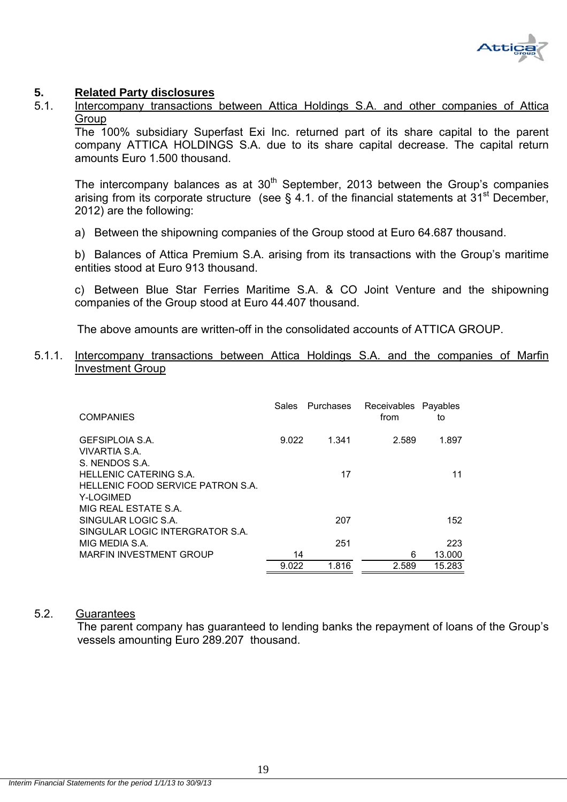

#### **5. Related Party disclosures**

5.1. Intercompany transactions between Attica Holdings S.A. and other companies of Attica **Group** 

Τhe 100% subsidiary Superfast Exi Inc. returned part of its share capital to the parent company ATTICA HOLDINGS S.A. due to its share capital decrease. The capital return amounts Euro 1.500 thousand.

The intercompany balances as at  $30<sup>th</sup>$  September, 2013 between the Group's companies arising from its corporate structure (see  $\S$  4.1. of the financial statements at 31<sup>st</sup> December, 2012) are the following:

a) Between the shipowning companies of the Group stood at Euro 64.687 thousand.

b) Balances of Attica Premium S.A. arising from its transactions with the Group's maritime entities stood at Euro 913 thousand.

c) Between Blue Star Ferries Maritime S.A. & CO Joint Venture and the shipowning companies of the Group stood at Euro 44.407 thousand.

The above amounts are written-off in the consolidated accounts of ATTICA GROUP.

#### 5.1.1. Intercompany transactions between Attica Holdings S.A. and the companies of Marfin Investment Group

| <b>COMPANIES</b>                        | Sales | Purchases | Receivables Payables<br>from | to     |
|-----------------------------------------|-------|-----------|------------------------------|--------|
| <b>GEFSIPLOIA S.A.</b><br>VIVARTIA S.A. | 9.022 | 1.341     | 2.589                        | 1.897  |
| S. NENDOS S.A.                          |       |           |                              |        |
| <b>HELLENIC CATERING S.A.</b>           |       | 17        |                              | 11     |
| HELLENIC FOOD SERVICE PATRON S.A.       |       |           |                              |        |
| Y-LOGIMED                               |       |           |                              |        |
| MIG REAL ESTATE S.A.                    |       |           |                              |        |
| SINGULAR LOGIC S.A.                     |       | 207       |                              | 152    |
| SINGULAR LOGIC INTERGRATOR S.A.         |       |           |                              |        |
| MIG MEDIA S.A.                          |       | 251       |                              | 223    |
| <b>MARFIN INVESTMENT GROUP</b>          | 14    |           | 6                            | 13.000 |
|                                         | 9.022 | 1.816     | 2.589                        | 15.283 |

#### 5.2. Guarantees

 The parent company has guaranteed to lending banks the repayment of loans of the Group's vessels amounting Euro 289.207 thousand.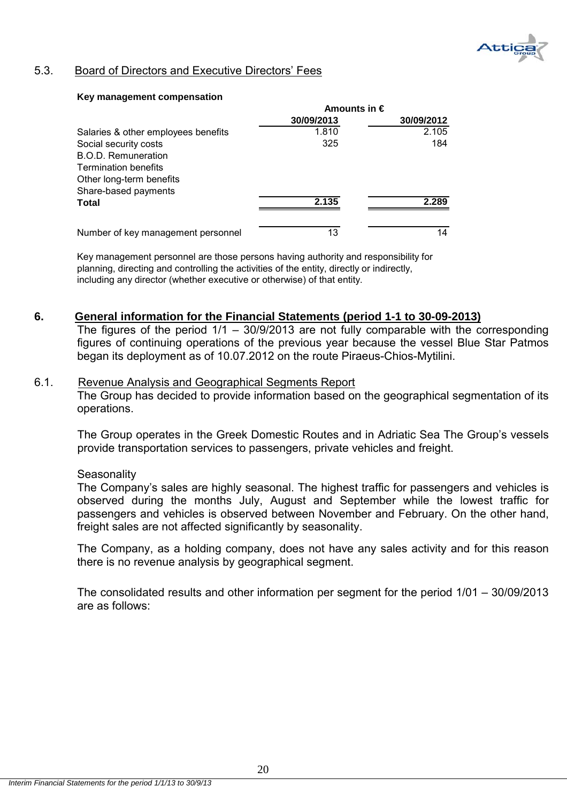

## 5.3. Board of Directors and Executive Directors' Fees

#### **Key management compensation**

|                                     | Amounts in $\epsilon$ |            |  |
|-------------------------------------|-----------------------|------------|--|
|                                     | 30/09/2013            | 30/09/2012 |  |
| Salaries & other employees benefits | 1.810                 | 2.105      |  |
| Social security costs               | 325                   | 184        |  |
| <b>B.O.D. Remuneration</b>          |                       |            |  |
| <b>Termination benefits</b>         |                       |            |  |
| Other long-term benefits            |                       |            |  |
| Share-based payments                |                       |            |  |
| <b>Total</b>                        | 2.135                 | 2.289      |  |
| Number of key management personnel  | 13                    | 14         |  |

Key management personnel are those persons having authority and responsibility for planning, directing and controlling the activities of the entity, directly or indirectly, including any director (whether executive or otherwise) of that entity.

### **6. General information for the Financial Statements (period 1-1 to 30-09-2013)**

The figures of the period  $1/1 - 30/9/2013$  are not fully comparable with the corresponding figures of continuing operations of the previous year because the vessel Blue Star Patmos began its deployment as of 10.07.2012 on the route Piraeus-Chios-Mytilini.

#### 6.1. Revenue Analysis and Geographical Segments Report The Group has decided to provide information based on the geographical segmentation of its

The Group operates in the Greek Domestic Routes and in Adriatic Sea The Group's vessels provide transportation services to passengers, private vehicles and freight.

#### **Seasonality**

operations.

The Company's sales are highly seasonal. The highest traffic for passengers and vehicles is observed during the months July, August and September while the lowest traffic for passengers and vehicles is observed between November and February. On the other hand, freight sales are not affected significantly by seasonality.

The Company, as a holding company, does not have any sales activity and for this reason there is no revenue analysis by geographical segment.

The consolidated results and other information per segment for the period 1/01 – 30/09/2013 are as follows: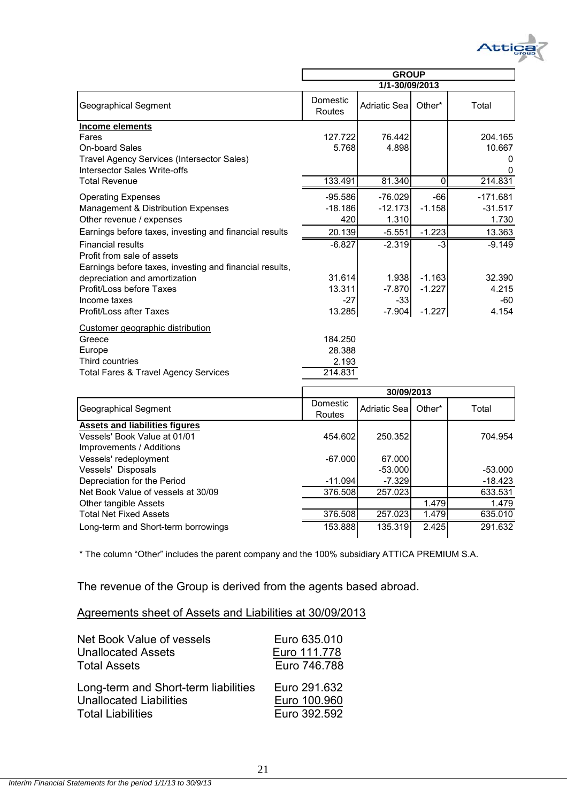

|                                                                                                                                                                                                                                                                                                                                                                                    | <b>GROUP</b>                                                                               |                                                                                                   |                                                                       |                                                                                           |  |
|------------------------------------------------------------------------------------------------------------------------------------------------------------------------------------------------------------------------------------------------------------------------------------------------------------------------------------------------------------------------------------|--------------------------------------------------------------------------------------------|---------------------------------------------------------------------------------------------------|-----------------------------------------------------------------------|-------------------------------------------------------------------------------------------|--|
|                                                                                                                                                                                                                                                                                                                                                                                    |                                                                                            | 1/1-30/09/2013                                                                                    |                                                                       |                                                                                           |  |
| <b>Geographical Segment</b>                                                                                                                                                                                                                                                                                                                                                        | Domestic<br>Routes                                                                         | Adriatic Sea                                                                                      | Other*                                                                | Total                                                                                     |  |
| Income elements<br>Fares<br><b>On-board Sales</b><br>Travel Agency Services (Intersector Sales)<br>Intersector Sales Write-offs                                                                                                                                                                                                                                                    | 127.722<br>5.768                                                                           | 76.442<br>4.898                                                                                   |                                                                       | 204.165<br>10.667<br>0<br>O                                                               |  |
| <b>Total Revenue</b>                                                                                                                                                                                                                                                                                                                                                               | 133.491                                                                                    | 81.340                                                                                            | 0                                                                     | 214.831                                                                                   |  |
| <b>Operating Expenses</b><br>Management & Distribution Expenses<br>Other revenue / expenses<br>Earnings before taxes, investing and financial results<br><b>Financial results</b><br>Profit from sale of assets<br>Earnings before taxes, investing and financial results,<br>depreciation and amortization<br>Profit/Loss before Taxes<br>Income taxes<br>Profit/Loss after Taxes | $-95.586$<br>$-18.186$<br>420<br>20.139<br>$-6.827$<br>31.614<br>13.311<br>$-27$<br>13.285 | $-76.029$<br>$-12.173$<br>1.310<br>$-5.551$<br>$-2.319$<br>1.938<br>$-7.870$<br>$-33$<br>$-7.904$ | -66<br>$-1.158$<br>$-1.223$<br>-3<br>$-1.163$<br>$-1.227$<br>$-1.227$ | $-171.681$<br>$-31.517$<br>1.730<br>13.363<br>$-9.149$<br>32.390<br>4.215<br>-60<br>4.154 |  |
| Customer geographic distribution<br>Greece<br>Europe<br>Third countries<br>Total Fares & Travel Agency Services                                                                                                                                                                                                                                                                    | 184.250<br>28.388<br>2.193<br>214.831                                                      | 0.00000000                                                                                        |                                                                       |                                                                                           |  |

|                                       | 30/09/2013         |              |        |           |
|---------------------------------------|--------------------|--------------|--------|-----------|
| Geographical Segment                  | Domestic<br>Routes | Adriatic Sea | Other* | Total     |
| <b>Assets and liabilities figures</b> |                    |              |        |           |
| Vessels' Book Value at 01/01          | 454.602            | 250.352      |        | 704.954   |
| Improvements / Additions              |                    |              |        |           |
| Vessels' redeployment                 | $-67.000$          | 67.000       |        |           |
| Vessels' Disposals                    |                    | $-53.000$    |        | $-53.000$ |
| Depreciation for the Period           | $-11.094$          | $-7.329$     |        | $-18.423$ |
| Net Book Value of vessels at 30/09    | 376.508            | 257.023      |        | 633.531   |
| Other tangible Assets                 |                    |              | 1.479  | 1.479     |
| <b>Total Net Fixed Assets</b>         | 376.508            | 257.023      | 1.479  | 635.010   |
| Long-term and Short-term borrowings   | 153.888            | 135.319      | 2.425  | 291.632   |

\* The column "Other" includes the parent company and the 100% subsidiary ATTICA PREMIUM S.A.

The revenue of the Group is derived from the agents based abroad.

## Agreements sheet of Assets and Liabilities at 30/09/2013

| Net Book Value of vessels            | Euro 635,010 |
|--------------------------------------|--------------|
| <b>Unallocated Assets</b>            | Euro 111.778 |
| <b>Total Assets</b>                  | Euro 746.788 |
| Long-term and Short-term liabilities | Euro 291.632 |
| <b>Unallocated Liabilities</b>       | Euro 100.960 |
| <b>Total Liabilities</b>             | Euro 392.592 |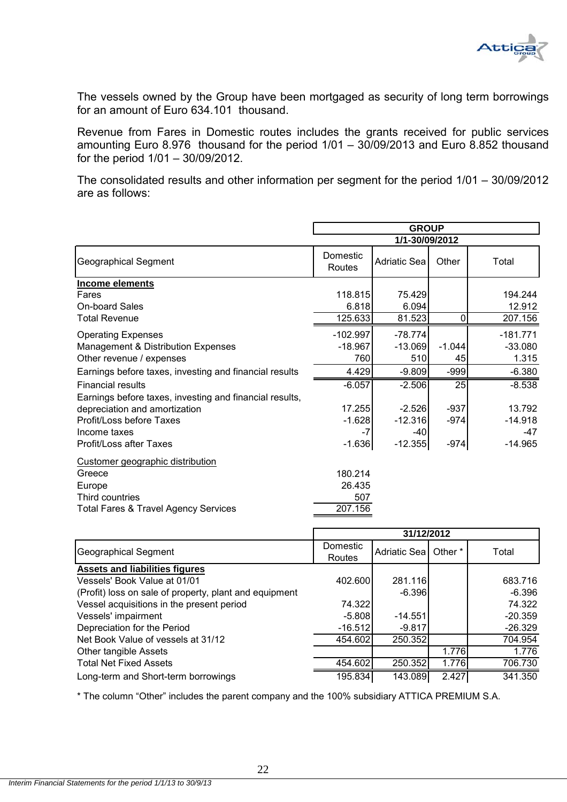

The vessels owned by the Group have been mortgaged as security of long term borrowings for an amount of Euro 634.101 thousand.

Revenue from Fares in Domestic routes includes the grants received for public services amounting Euro 8.976 thousand for the period 1/01 – 30/09/2013 and Euro 8.852 thousand for the period 1/01 – 30/09/2012.

The consolidated results and other information per segment for the period 1/01 – 30/09/2012 are as follows:

| <b>GROUP</b>                   |                 |                                                                                                                    |                                                        |
|--------------------------------|-----------------|--------------------------------------------------------------------------------------------------------------------|--------------------------------------------------------|
|                                |                 |                                                                                                                    |                                                        |
| Domestic<br>Routes             |                 | Other                                                                                                              | Total                                                  |
|                                |                 |                                                                                                                    |                                                        |
| 118.815                        | 75.429<br>6.094 |                                                                                                                    | 194.244<br>12.912                                      |
|                                |                 |                                                                                                                    | 207.156                                                |
| $-102.997$<br>$-18.967$<br>760 | 510             | $-1.044$<br>45                                                                                                     | $-181.771$<br>$-33.080$<br>1.315                       |
| 4.429                          |                 | $-999$                                                                                                             | $-6.380$                                               |
| $-6.057$                       | $-2.506$        | 25                                                                                                                 | $-8.538$                                               |
|                                |                 | $-937$                                                                                                             | 13.792                                                 |
|                                | $-12.316$       | $-974$                                                                                                             | $-14.918$                                              |
| $-7$                           | -40             |                                                                                                                    | -47                                                    |
|                                |                 |                                                                                                                    | $-14.965$                                              |
| 180.214<br>26.435<br>507       |                 |                                                                                                                    |                                                        |
|                                | 207.156         | Adriatic Sea<br>6.818<br>125.633<br>81.523<br>$-78.774$<br>$-13.069$<br>17.255<br>$-2.526$<br>$-1.628$<br>$-1.636$ | 1/1-30/09/2012<br>0<br>$-9.809$<br>$-12.355$<br>$-974$ |

|                                                        | 31/12/2012         |                |         |           |
|--------------------------------------------------------|--------------------|----------------|---------|-----------|
| Geographical Segment                                   | Domestic<br>Routes | Adriatic Sea I | Other * | Total     |
| <b>Assets and liabilities figures</b>                  |                    |                |         |           |
| Vessels' Book Value at 01/01                           | 402.600            | 281.116        |         | 683.716   |
| (Profit) loss on sale of property, plant and equipment |                    | $-6.396$       |         | $-6.396$  |
| Vessel acquisitions in the present period              | 74.322             |                |         | 74.322    |
| Vessels' impairment                                    | $-5.808$           | $-14.551$      |         | $-20.359$ |
| Depreciation for the Period                            | -16.512            | $-9.817$       |         | $-26.329$ |
| Net Book Value of vessels at 31/12                     | 454.602            | 250.352        |         | 704.954   |
| Other tangible Assets                                  |                    |                | 1.776   | 1.776     |
| <b>Total Net Fixed Assets</b>                          | 454.602            | 250.352        | 1.776   | 706.730   |
| Long-term and Short-term borrowings                    | 195.834            | 143.089        | 2.427   | 341.350   |

\* The column "Other" includes the parent company and the 100% subsidiary ATTICA PREMIUM S.A.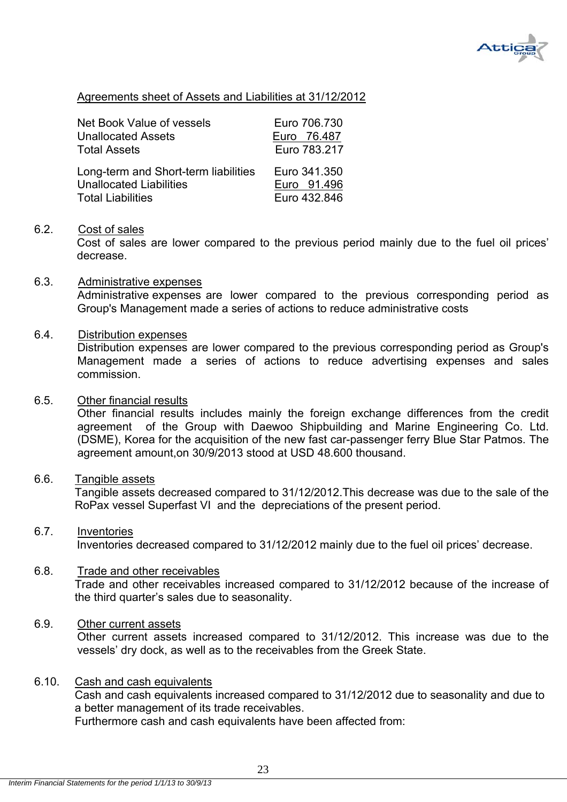

## Agreements sheet of Assets and Liabilities at 31/12/2012

| <b>Net Book Value of vessels</b>     | Euro 706.730 |
|--------------------------------------|--------------|
| <b>Unallocated Assets</b>            | Euro 76.487  |
| <b>Total Assets</b>                  | Euro 783.217 |
| Long-term and Short-term liabilities | Euro 341.350 |
| <b>Unallocated Liabilities</b>       | Euro 91.496  |
| <b>Total Liabilities</b>             | Euro 432.846 |

#### 6.2. Cost of sales

 Cost of sales are lower compared to the previous period mainly due to the fuel oil prices' decrease.

#### 6.3. Administrative expenses

Administrative expenses are lower compared to the previous corresponding period as Group's Management made a series of actions to reduce administrative costs

#### 6.4. Distribution expenses

Distribution expenses are lower compared to the previous corresponding period as Group's Management made a series of actions to reduce advertising expenses and sales commission.

#### 6.5. Other financial results

Other financial results includes mainly the foreign exchange differences from the credit agreement of the Group with Daewoo Shipbuilding and Marine Engineering Co. Ltd. (DSME), Korea for the acquisition of the new fast car-passenger ferry Blue Star Patmos. The agreement amount,on 30/9/2013 stood at USD 48.600 thousand.

#### 6.6. Tangible assets

Tangible assets decreased compared to 31/12/2012.This decrease was due to the sale of the RoPax vessel Superfast VI and the depreciations of the present period.

### 6.7. Inventories

Inventories decreased compared to 31/12/2012 mainly due to the fuel oil prices' decrease.

#### 6.8. Trade and other receivables

Trade and other receivables increased compared to 31/12/2012 because of the increase of the third quarter's sales due to seasonality.

## 6.9. Other current assets

Other current assets increased compared to 31/12/2012. This increase was due to the vessels' dry dock, as well as to the receivables from the Greek State.

#### 6.10. Cash and cash equivalents

Cash and cash equivalents increased compared to 31/12/2012 due to seasonality and due to a better management of its trade receivables.

Furthermore cash and cash equivalents have been affected from: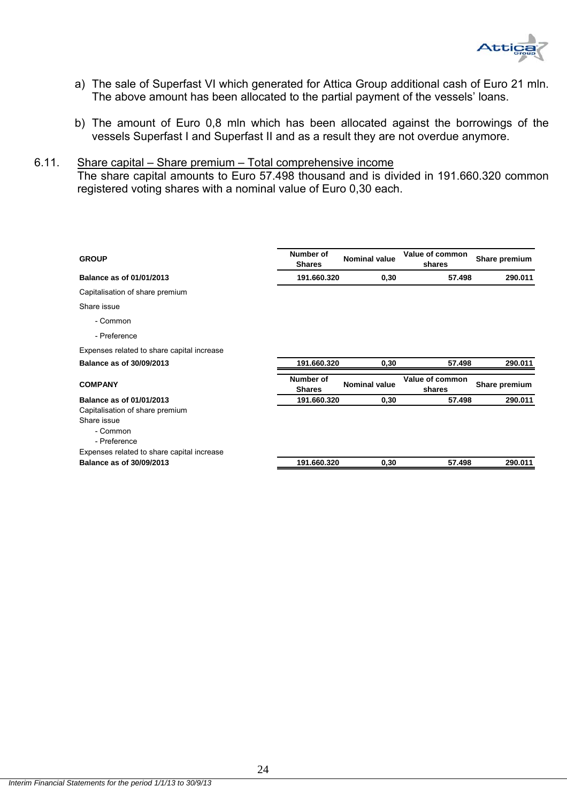

- a) The sale of Superfast VI which generated for Attica Group additional cash of Euro 21 mln. The above amount has been allocated to the partial payment of the vessels' loans.
- b) The amount of Euro 0,8 mln which has been allocated against the borrowings of the vessels Superfast I and Superfast II and as a result they are not overdue anymore.

#### 6.11. Share capital – Share premium – Total comprehensive income

The share capital amounts to Euro 57.498 thousand and is divided in 191.660.320 common registered voting shares with a nominal value of Euro 0,30 each.

| Number of<br><b>Shares</b> | <b>Nominal value</b>                                     | Value of common<br>shares | Share premium |
|----------------------------|----------------------------------------------------------|---------------------------|---------------|
|                            | 0,30                                                     | 57.498                    | 290.011       |
|                            |                                                          |                           |               |
|                            |                                                          |                           |               |
|                            |                                                          |                           |               |
|                            |                                                          |                           |               |
|                            |                                                          |                           |               |
|                            | 0,30                                                     | 57.498                    | 290.011       |
| Number of<br><b>Shares</b> | <b>Nominal value</b>                                     | Value of common<br>shares | Share premium |
|                            | 0,30                                                     | 57.498                    | 290.011       |
|                            |                                                          |                           |               |
|                            |                                                          |                           |               |
|                            |                                                          |                           |               |
|                            |                                                          |                           |               |
|                            | 0,30                                                     | 57.498                    | 290.011       |
|                            | 191.660.320<br>191.660.320<br>191.660.320<br>191.660.320 |                           |               |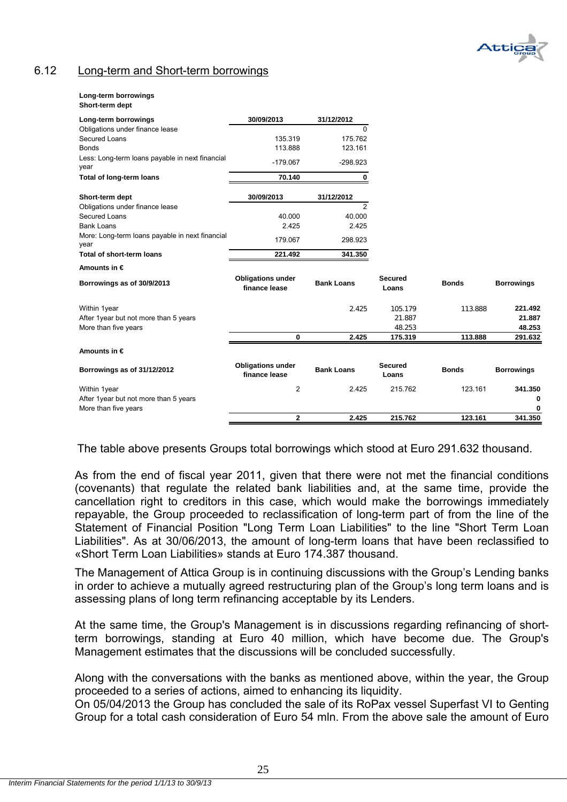

## 6.12 Long-term and Short-term borrowings

#### **Long-term borrowings**

| Short-term dept |
|-----------------|
|                 |

| Long-term borrowings                                                                                                                                                                           | 30/09/2013                                | 31/12/2012        |                         |              |                   |
|------------------------------------------------------------------------------------------------------------------------------------------------------------------------------------------------|-------------------------------------------|-------------------|-------------------------|--------------|-------------------|
| Obligations under finance lease                                                                                                                                                                |                                           | 0                 |                         |              |                   |
| Secured Loans                                                                                                                                                                                  | 135.319                                   | 175.762           |                         |              |                   |
| <b>Bonds</b>                                                                                                                                                                                   | 113.888                                   | 123.161           |                         |              |                   |
| Less: Long-term loans payable in next financial<br>year                                                                                                                                        | $-179.067$                                | $-298.923$        |                         |              |                   |
| Total of long-term loans                                                                                                                                                                       | 70.140                                    | 0                 |                         |              |                   |
| Short-term dept                                                                                                                                                                                | 30/09/2013                                | 31/12/2012        |                         |              |                   |
| Obligations under finance lease                                                                                                                                                                |                                           | $\overline{2}$    |                         |              |                   |
| Secured Loans                                                                                                                                                                                  | 40.000                                    | 40.000            |                         |              |                   |
| <b>Bank Loans</b>                                                                                                                                                                              | 2.425                                     | 2.425             |                         |              |                   |
| More: Long-term loans payable in next financial<br>year                                                                                                                                        | 179.067                                   | 298.923           |                         |              |                   |
| Total of short-term loans                                                                                                                                                                      | 221.492                                   | 341.350           |                         |              |                   |
| Amounts in $\epsilon$                                                                                                                                                                          |                                           |                   |                         |              |                   |
| Borrowings as of 30/9/2013                                                                                                                                                                     | <b>Obligations under</b><br>finance lease | <b>Bank Loans</b> | <b>Secured</b><br>Loans | <b>Bonds</b> | <b>Borrowings</b> |
|                                                                                                                                                                                                |                                           | 2.425             | 105.179                 | 113.888      | 221.492           |
|                                                                                                                                                                                                |                                           |                   | 21.887                  |              | 21.887            |
| More than five years                                                                                                                                                                           |                                           |                   | 48.253                  |              | 48.253            |
| Within 1year<br>After 1year but not more than 5 years<br>Amounts in $\epsilon$<br>Borrowings as of 31/12/2012<br>Within 1year<br>After 1year but not more than 5 years<br>More than five years | 0                                         | 2.425             | 175.319                 | 113.888      | 291.632           |
|                                                                                                                                                                                                |                                           |                   |                         |              |                   |
|                                                                                                                                                                                                | <b>Obligations under</b><br>finance lease | <b>Bank Loans</b> | <b>Secured</b><br>Loans | <b>Bonds</b> | <b>Borrowings</b> |
|                                                                                                                                                                                                | $\overline{2}$                            | 2.425             | 215.762                 | 123.161      | 341.350           |
|                                                                                                                                                                                                |                                           |                   |                         |              | 0                 |
|                                                                                                                                                                                                |                                           |                   |                         |              | 0                 |
|                                                                                                                                                                                                | 2                                         | 2.425             | 215.762                 | 123.161      | 341.350           |

The table above presents Groups total borrowings which stood at Euro 291.632 thousand.

As from the end of fiscal year 2011, given that there were not met the financial conditions (covenants) that regulate the related bank liabilities and, at the same time, provide the cancellation right to creditors in this case, which would make the borrowings immediately repayable, the Group proceeded to reclassification of long-term part of from the line of the Statement of Financial Position "Long Term Loan Liabilities" to the line "Short Term Loan Liabilities". As at 30/06/2013, the amount of long-term loans that have been reclassified to «Short Term Loan Liabilities» stands at Euro 174.387 thousand.

The Management of Attica Group is in continuing discussions with the Group's Lending banks in order to achieve a mutually agreed restructuring plan of the Group's long term loans and is assessing plans of long term refinancing acceptable by its Lenders.

At the same time, the Group's Management is in discussions regarding refinancing of shortterm borrowings, standing at Euro 40 million, which have become due. The Group's Management estimates that the discussions will be concluded successfully.

Along with the conversations with the banks as mentioned above, within the year, the Group proceeded to a series of actions, aimed to enhancing its liquidity.

On 05/04/2013 the Group has concluded the sale of its RoPax vessel Superfast VI to Genting Group for a total cash consideration of Euro 54 mln. From the above sale the amount of Euro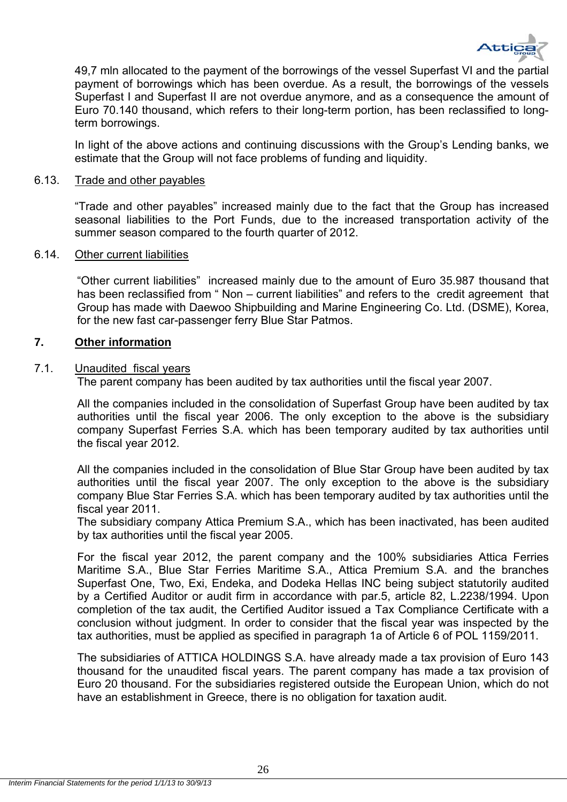

49,7 mln allocated to the payment of the borrowings of the vessel Superfast VI and the partial payment of borrowings which has been overdue. As a result, the borrowings of the vessels Superfast I and Superfast II are not overdue anymore, and as a consequence the amount of Euro 70.140 thousand, which refers to their long-term portion, has been reclassified to longterm borrowings.

In light of the above actions and continuing discussions with the Group's Lending banks, we estimate that the Group will not face problems of funding and liquidity.

#### 6.13. Trade and other payables

"Trade and other payables" increased mainly due to the fact that the Group has increased seasonal liabilities to the Port Funds, due to the increased transportation activity of the summer season compared to the fourth quarter of 2012.

#### 6.14. Other current liabilities

"Other current liabilities" increased mainly due to the amount of Euro 35.987 thousand that has been reclassified from " Non – current liabilities" and refers to the credit agreement that Group has made with Daewoo Shipbuilding and Marine Engineering Co. Ltd. (DSME), Korea, for the new fast car-passenger ferry Blue Star Patmos.

#### **7. Other information**

#### 7.1. Unaudited fiscal years

The parent company has been audited by tax authorities until the fiscal year 2007.

All the companies included in the consolidation of Superfast Group have been audited by tax authorities until the fiscal year 2006. The only exception to the above is the subsidiary company Superfast Ferries S.A. which has been temporary audited by tax authorities until the fiscal year 2012.

All the companies included in the consolidation of Blue Star Group have been audited by tax authorities until the fiscal year 2007. The only exception to the above is the subsidiary company Blue Star Ferries S.A. which has been temporary audited by tax authorities until the fiscal year 2011.

The subsidiary company Attica Premium S.A., which has been inactivated, has been audited by tax authorities until the fiscal year 2005.

For the fiscal year 2012, the parent company and the 100% subsidiaries Attica Ferries Maritime S.A., Blue Star Ferries Maritime S.A., Attica Premium S.A. and the branches Superfast One, Two, Exi, Endeka, and Dodeka Hellas INC being subject statutorily audited by a Certified Auditor or audit firm in accordance with par.5, article 82, L.2238/1994. Upon completion of the tax audit, the Certified Auditor issued a Tax Compliance Certificate with a conclusion without judgment. In order to consider that the fiscal year was inspected by the tax authorities, must be applied as specified in paragraph 1a of Article 6 of POL 1159/2011.

The subsidiaries of ATTICA HOLDINGS S.A. have already made a tax provision of Euro 143 thousand for the unaudited fiscal years. The parent company has made a tax provision of Euro 20 thousand. For the subsidiaries registered outside the European Union, which do not have an establishment in Greece, there is no obligation for taxation audit.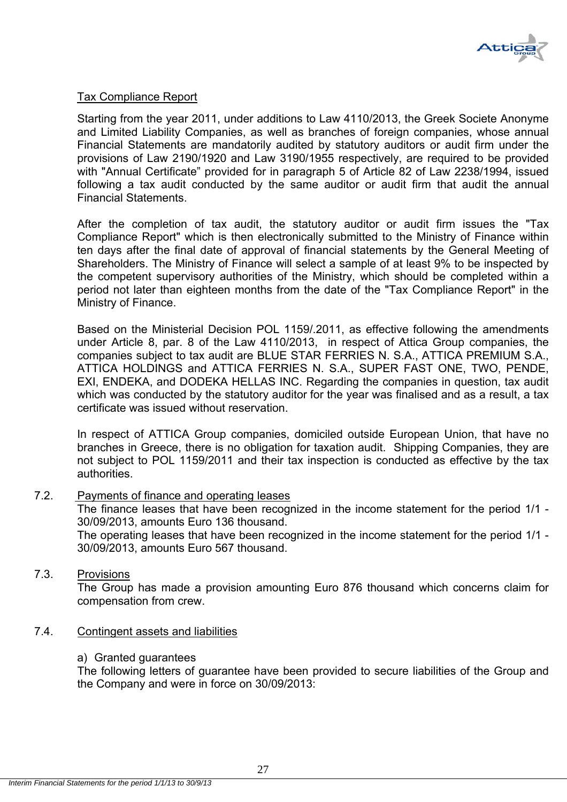

## Tax Compliance Report

Starting from the year 2011, under additions to Law 4110/2013, the Greek Societe Anonyme and Limited Liability Companies, as well as branches of foreign companies, whose annual Financial Statements are mandatorily audited by statutory auditors or audit firm under the provisions of Law 2190/1920 and Law 3190/1955 respectively, are required to be provided with "Annual Certificate" provided for in paragraph 5 of Article 82 of Law 2238/1994, issued following a tax audit conducted by the same auditor or audit firm that audit the annual Financial Statements.

After the completion of tax audit, the statutory auditor or audit firm issues the "Tax Compliance Report" which is then electronically submitted to the Ministry of Finance within ten days after the final date of approval of financial statements by the General Meeting of Shareholders. The Ministry of Finance will select a sample of at least 9% to be inspected by the competent supervisory authorities of the Ministry, which should be completed within a period not later than eighteen months from the date of the "Tax Compliance Report" in the Ministry of Finance.

Based on the Ministerial Decision POL 1159/.2011, as effective following the amendments under Article 8, par. 8 of the Law 4110/2013, in respect of Attica Group companies, the companies subject to tax audit are BLUE STAR FERRIES N. S.A., ATTICA PREMIUM S.A., ATTICA HOLDINGS and ATTICA FERRIES N. S.A., SUPER FAST ONE, TWO, PENDE, EXI, ENDEKA, and DODEKA HELLAS INC. Regarding the companies in question, tax audit which was conducted by the statutory auditor for the year was finalised and as a result, a tax certificate was issued without reservation.

In respect of ATTICA Group companies, domiciled outside European Union, that have no branches in Greece, there is no obligation for taxation audit. Shipping Companies, they are not subject to POL 1159/2011 and their tax inspection is conducted as effective by the tax authorities.

### 7.2. Payments of finance and operating leases

The finance leases that have been recognized in the income statement for the period 1/1 - 30/09/2013, amounts Euro 136 thousand.

The operating leases that have been recognized in the income statement for the period 1/1 - 30/09/2013, amounts Euro 567 thousand.

#### 7.3. Provisions

The Group has made a provision amounting Euro 876 thousand which concerns claim for compensation from crew.

#### 7.4. Contingent assets and liabilities

#### a) Granted guarantees

The following letters of guarantee have been provided to secure liabilities of the Group and the Company and were in force on 30/09/2013: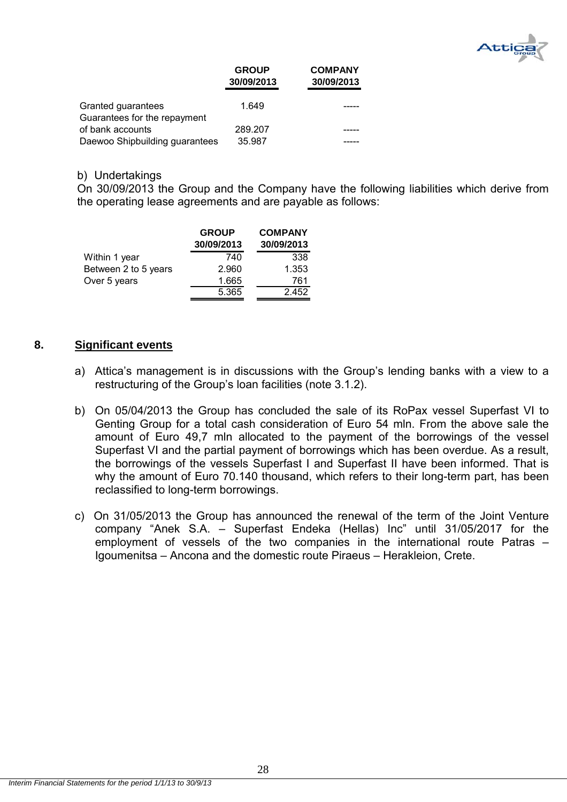

|                                                    | <b>GROUP</b><br>30/09/2013 | <b>COMPANY</b><br>30/09/2013 |
|----------------------------------------------------|----------------------------|------------------------------|
| Granted guarantees<br>Guarantees for the repayment | 1.649                      |                              |
| of bank accounts                                   | 289.207                    |                              |
| Daewoo Shipbuilding guarantees                     | 35.987                     |                              |

#### b) Undertakings

On 30/09/2013 the Group and the Company have the following liabilities which derive from the operating lease agreements and are payable as follows:

|                      | <b>GROUP</b><br>30/09/2013 | <b>COMPANY</b><br>30/09/2013 |
|----------------------|----------------------------|------------------------------|
| Within 1 year        | 740                        | 338                          |
| Between 2 to 5 years | 2.960                      | 1.353                        |
| Over 5 years         | 1.665                      | 761                          |
|                      | 5.365                      | 2.452                        |

#### **8. Significant events**

- a) Attica's management is in discussions with the Group's lending banks with a view to a restructuring of the Group's loan facilities (note 3.1.2).
- b) On 05/04/2013 the Group has concluded the sale of its RoPax vessel Superfast VI to Genting Group for a total cash consideration of Euro 54 mln. From the above sale the amount of Euro 49,7 mln allocated to the payment of the borrowings of the vessel Superfast VI and the partial payment of borrowings which has been overdue. As a result, the borrowings of the vessels Superfast I and Superfast II have been informed. That is why the amount of Euro 70.140 thousand, which refers to their long-term part, has been reclassified to long-term borrowings.
- c) On 31/05/2013 the Group has announced the renewal of the term of the Joint Venture company "Anek S.A. – Superfast Endeka (Hellas) Inc" until 31/05/2017 for the employment of vessels of the two companies in the international route Patras – Igoumenitsa – Ancona and the domestic route Piraeus – Herakleion, Crete.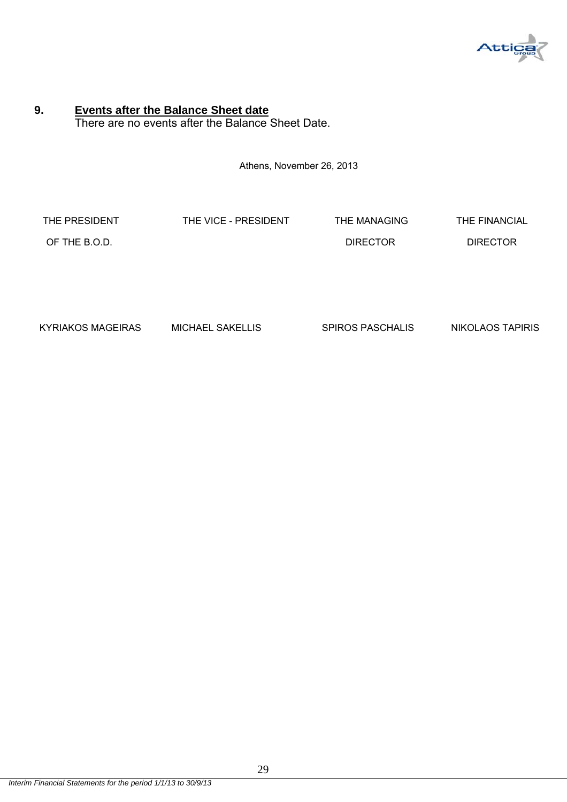

## **9. Events after the Balance Sheet date** There are no events after the Balance Sheet Date.

Athens, November 26, 2013

| THE PRESIDENT | THE VICE - PRESIDENT | THE MANAGING    | THE FINANCIAL   |
|---------------|----------------------|-----------------|-----------------|
| OF THE B.O.D. |                      | <b>DIRECTOR</b> | <b>DIRECTOR</b> |

KYRIAKOS MAGEIRAS MICHAEL SAKELLIS SPIROS PASCHALIS NIKOLAOS TAPIRIS